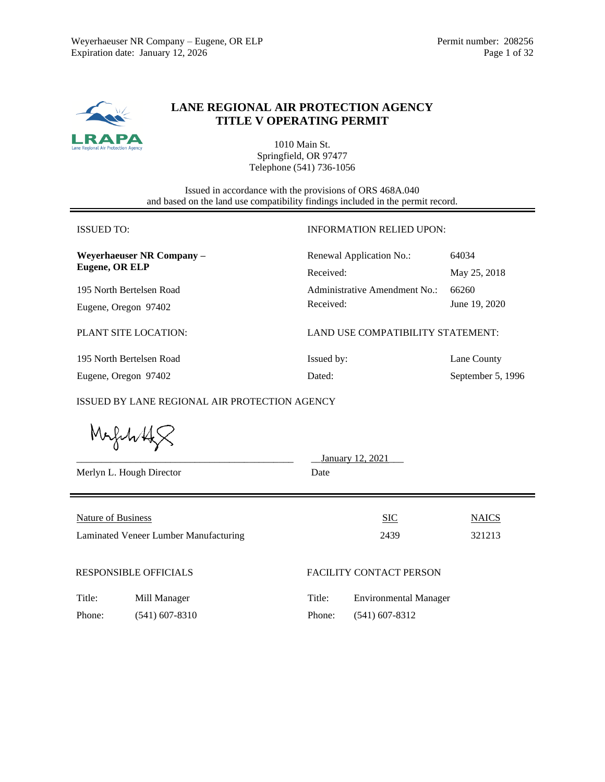

# **LANE REGIONAL AIR PROTECTION AGENCY TITLE V OPERATING PERMIT**

1010 Main St. Springfield, OR 97477 Telephone (541) 736-1056

Issued in accordance with the provisions of ORS 468A.040 and based on the land use compatibility findings included in the permit record.

| <b>ISSUED TO:</b>         | <b>INFORMATION RELIED UPON:</b>   |                   |  |
|---------------------------|-----------------------------------|-------------------|--|
| Weyerhaeuser NR Company - | 64034<br>Renewal Application No.: |                   |  |
| Eugene, OR ELP            | Received:                         | May 25, 2018      |  |
| 195 North Bertelsen Road  | Administrative Amendment No.:     | 66260             |  |
| Eugene, Oregon 97402      | Received:                         | June 19, 2020     |  |
| PLANT SITE LOCATION:      | LAND USE COMPATIBILITY STATEMENT: |                   |  |
| 195 North Bertelsen Road  | Issued by:                        | Lane County       |  |
| Eugene, Oregon 97402      | Dated:                            | September 5, 1996 |  |

ISSUED BY LANE REGIONAL AIR PROTECTION AGENCY

|                                                                    | Merlyn L. Hough Director | Date   | January 12, 2021               |                        |
|--------------------------------------------------------------------|--------------------------|--------|--------------------------------|------------------------|
| <b>Nature of Business</b><br>Laminated Veneer Lumber Manufacturing |                          |        | <b>SIC</b><br>2439             | <b>NAICS</b><br>321213 |
| <b>RESPONSIBLE OFFICIALS</b>                                       |                          |        | <b>FACILITY CONTACT PERSON</b> |                        |
| Title:                                                             | Mill Manager             | Title: | <b>Environmental Manager</b>   |                        |
| Phone:                                                             | $(541)$ 607-8310         | Phone: | $(541)$ 607-8312               |                        |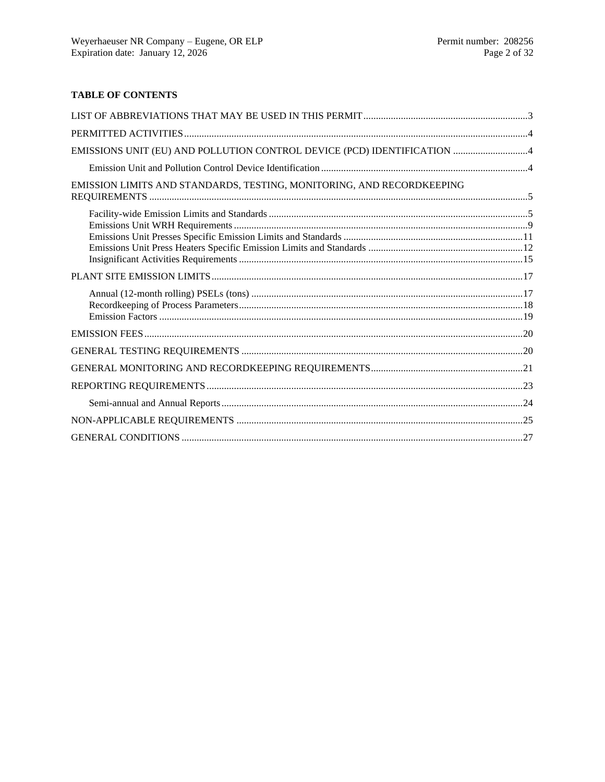## **TABLE OF CONTENTS**

| EMISSIONS UNIT (EU) AND POLLUTION CONTROL DEVICE (PCD) IDENTIFICATION 4 |  |
|-------------------------------------------------------------------------|--|
|                                                                         |  |
| EMISSION LIMITS AND STANDARDS, TESTING, MONITORING, AND RECORDKEEPING   |  |
|                                                                         |  |
|                                                                         |  |
|                                                                         |  |
|                                                                         |  |
|                                                                         |  |
|                                                                         |  |
|                                                                         |  |
|                                                                         |  |
|                                                                         |  |
|                                                                         |  |
|                                                                         |  |
|                                                                         |  |
|                                                                         |  |
|                                                                         |  |
|                                                                         |  |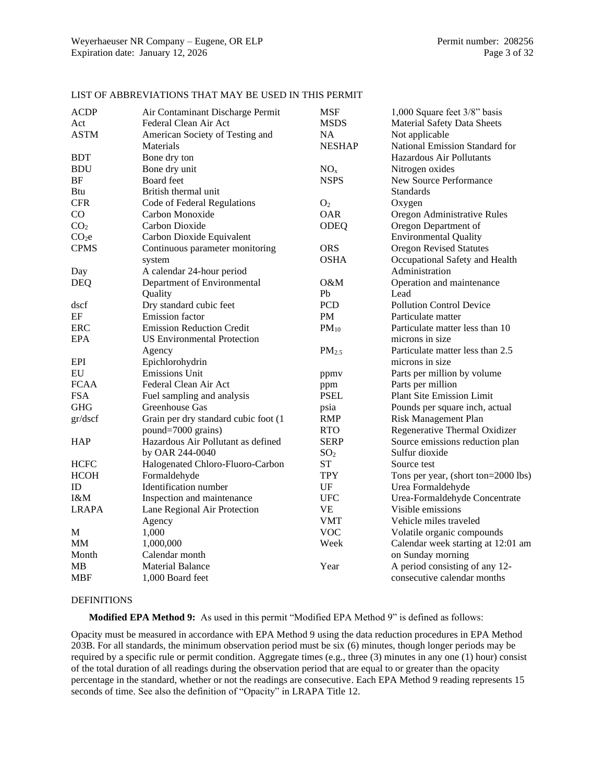| <b>ACDP</b>       | Air Contaminant Discharge Permit     | <b>MSF</b>        | 1,000 Square feet 3/8" basis        |
|-------------------|--------------------------------------|-------------------|-------------------------------------|
| Act               | Federal Clean Air Act                | <b>MSDS</b>       | <b>Material Safety Data Sheets</b>  |
| <b>ASTM</b>       | American Society of Testing and      | NA                | Not applicable                      |
|                   | Materials                            | <b>NESHAP</b>     | National Emission Standard for      |
| <b>BDT</b>        | Bone dry ton                         |                   | Hazardous Air Pollutants            |
| <b>BDU</b>        | Bone dry unit                        | NO <sub>x</sub>   | Nitrogen oxides                     |
| $\rm{BF}$         | <b>Board</b> feet                    | <b>NSPS</b>       | New Source Performance              |
| <b>Btu</b>        | British thermal unit                 |                   | <b>Standards</b>                    |
| <b>CFR</b>        | Code of Federal Regulations          | O <sub>2</sub>    | Oxygen                              |
| CO                | Carbon Monoxide                      | <b>OAR</b>        | Oregon Administrative Rules         |
| CO <sub>2</sub>   | Carbon Dioxide                       | ODEQ              | Oregon Department of                |
| CO <sub>2</sub> e | Carbon Dioxide Equivalent            |                   | <b>Environmental Quality</b>        |
| <b>CPMS</b>       | Continuous parameter monitoring      | <b>ORS</b>        | <b>Oregon Revised Statutes</b>      |
|                   | system                               | <b>OSHA</b>       | Occupational Safety and Health      |
| Day               | A calendar 24-hour period            |                   | Administration                      |
| <b>DEQ</b>        | Department of Environmental          | O&M               | Operation and maintenance           |
|                   | Quality                              | Pb                | Lead                                |
| dscf              | Dry standard cubic feet              | <b>PCD</b>        | <b>Pollution Control Device</b>     |
| EF                | <b>Emission</b> factor               | PM                | Particulate matter                  |
| <b>ERC</b>        | <b>Emission Reduction Credit</b>     | $PM_{10}$         | Particulate matter less than 10     |
| EPA               | <b>US Environmental Protection</b>   |                   | microns in size                     |
|                   | Agency                               | PM <sub>2.5</sub> | Particulate matter less than 2.5    |
| <b>EPI</b>        | Epichlorohydrin                      |                   | microns in size                     |
| EU                | <b>Emissions Unit</b>                | ppmv              | Parts per million by volume         |
| <b>FCAA</b>       | Federal Clean Air Act                | ppm               | Parts per million                   |
| <b>FSA</b>        | Fuel sampling and analysis           | <b>PSEL</b>       | <b>Plant Site Emission Limit</b>    |
| <b>GHG</b>        | Greenhouse Gas                       | psia              | Pounds per square inch, actual      |
| gr/dscf           | Grain per dry standard cubic foot (1 | <b>RMP</b>        | Risk Management Plan                |
|                   | pound=7000 grains)                   | <b>RTO</b>        | Regenerative Thermal Oxidizer       |
| <b>HAP</b>        | Hazardous Air Pollutant as defined   | <b>SERP</b>       | Source emissions reduction plan     |
|                   | by OAR 244-0040                      | SO <sub>2</sub>   | Sulfur dioxide                      |
| <b>HCFC</b>       | Halogenated Chloro-Fluoro-Carbon     | <b>ST</b>         | Source test                         |
| <b>HCOH</b>       | Formaldehyde                         | <b>TPY</b>        | Tons per year, (short ton=2000 lbs) |
| ID                | Identification number                | UF                | Urea Formaldehyde                   |
| I&M               | Inspection and maintenance           | <b>UFC</b>        | Urea-Formaldehyde Concentrate       |
| <b>LRAPA</b>      | Lane Regional Air Protection         | <b>VE</b>         | Visible emissions                   |
|                   | Agency                               | <b>VMT</b>        | Vehicle miles traveled              |
| М                 | 1,000                                | <b>VOC</b>        | Volatile organic compounds          |
| <b>MM</b>         | 1,000,000                            | Week              | Calendar week starting at 12:01 am  |
| Month             | Calendar month                       |                   | on Sunday morning                   |
| MВ                | <b>Material Balance</b>              | Year              | A period consisting of any 12-      |
| <b>MBF</b>        | 1,000 Board feet                     |                   | consecutive calendar months         |

## LIST OF ABBREVIATIONS THAT MAY BE USED IN THIS PERMIT

#### DEFINITIONS

**Modified EPA Method 9:** As used in this permit "Modified EPA Method 9" is defined as follows:

Opacity must be measured in accordance with EPA Method 9 using the data reduction procedures in EPA Method 203B. For all standards, the minimum observation period must be six (6) minutes, though longer periods may be required by a specific rule or permit condition. Aggregate times (e.g., three (3) minutes in any one (1) hour) consist of the total duration of all readings during the observation period that are equal to or greater than the opacity percentage in the standard, whether or not the readings are consecutive. Each EPA Method 9 reading represents 15 seconds of time. See also the definition of "Opacity" in LRAPA Title 12.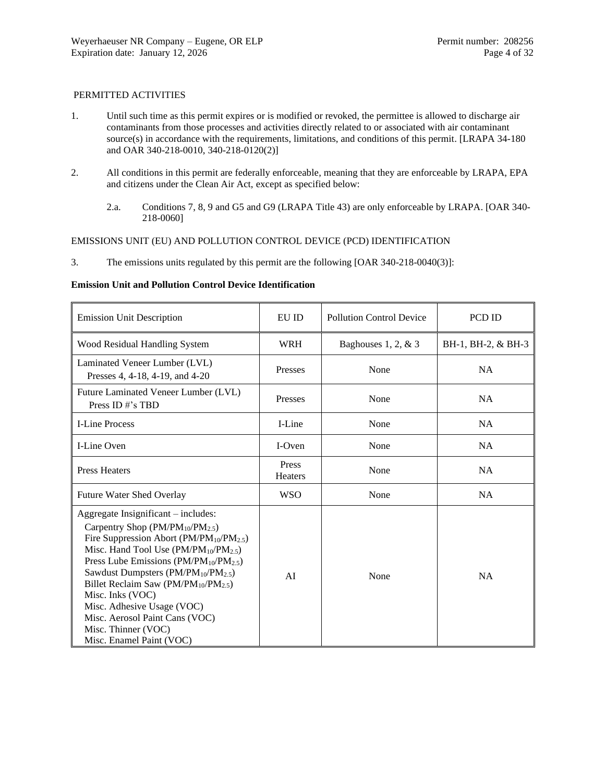## PERMITTED ACTIVITIES

- 1. Until such time as this permit expires or is modified or revoked, the permittee is allowed to discharge air contaminants from those processes and activities directly related to or associated with air contaminant source(s) in accordance with the requirements, limitations, and conditions of this permit. [LRAPA 34-180] and OAR 340-218-0010, 340-218-0120(2)]
- 2. All conditions in this permit are federally enforceable, meaning that they are enforceable by LRAPA, EPA and citizens under the Clean Air Act, except as specified below:
	- 2.a. Conditions [7,](#page-5-0) [8,](#page-5-1) [9](#page-5-2) and [G5](#page-26-0) an[d G9](#page-27-0) (LRAPA Title 43) are only enforceable by LRAPA. [OAR 340- 218-0060]

## EMISSIONS UNIT (EU) AND POLLUTION CONTROL DEVICE (PCD) IDENTIFICATION

3. The emissions units regulated by this permit are the following [OAR 340-218-0040(3)]:

#### **Emission Unit and Pollution Control Device Identification**

| <b>Emission Unit Description</b>                                                                                                                                                                                                                                                                                                                                                                                                                                                                                             | EU ID                   | <b>Pollution Control Device</b> | PCD ID             |
|------------------------------------------------------------------------------------------------------------------------------------------------------------------------------------------------------------------------------------------------------------------------------------------------------------------------------------------------------------------------------------------------------------------------------------------------------------------------------------------------------------------------------|-------------------------|---------------------------------|--------------------|
| Wood Residual Handling System                                                                                                                                                                                                                                                                                                                                                                                                                                                                                                | <b>WRH</b>              | Baghouses 1, 2, & 3             | BH-1, BH-2, & BH-3 |
| Laminated Veneer Lumber (LVL)<br>Presses 4, 4-18, 4-19, and 4-20                                                                                                                                                                                                                                                                                                                                                                                                                                                             | Presses                 | None                            | <b>NA</b>          |
| Future Laminated Veneer Lumber (LVL)<br>Press ID#'s TBD                                                                                                                                                                                                                                                                                                                                                                                                                                                                      | Presses                 | None                            | <b>NA</b>          |
| <b>I-Line Process</b>                                                                                                                                                                                                                                                                                                                                                                                                                                                                                                        | I-Line                  | None                            | <b>NA</b>          |
| I-Line Oven                                                                                                                                                                                                                                                                                                                                                                                                                                                                                                                  | I-Oven                  | None                            | <b>NA</b>          |
| <b>Press Heaters</b>                                                                                                                                                                                                                                                                                                                                                                                                                                                                                                         | Press<br><b>Heaters</b> | None                            | <b>NA</b>          |
| <b>Future Water Shed Overlay</b>                                                                                                                                                                                                                                                                                                                                                                                                                                                                                             | <b>WSO</b>              | None                            | <b>NA</b>          |
| Aggregate Insignificant – includes:<br>Carpentry Shop ( $PM/PM_{10}/PM_{2.5}$ )<br>Fire Suppression Abort (PM/PM <sub>10</sub> /PM <sub>2.5</sub> )<br>Misc. Hand Tool Use (PM/PM <sub>10</sub> /PM <sub>2.5</sub> )<br>Press Lube Emissions ( $PM/PM_{10}/PM_{2.5}$ )<br>Sawdust Dumpsters (PM/PM <sub>10</sub> /PM <sub>2.5</sub> )<br>Billet Reclaim Saw ( $PM/PM_{10}/PM_{2.5}$ )<br>Misc. Inks (VOC)<br>Misc. Adhesive Usage (VOC)<br>Misc. Aerosol Paint Cans (VOC)<br>Misc. Thinner (VOC)<br>Misc. Enamel Paint (VOC) | AI                      | None                            | <b>NA</b>          |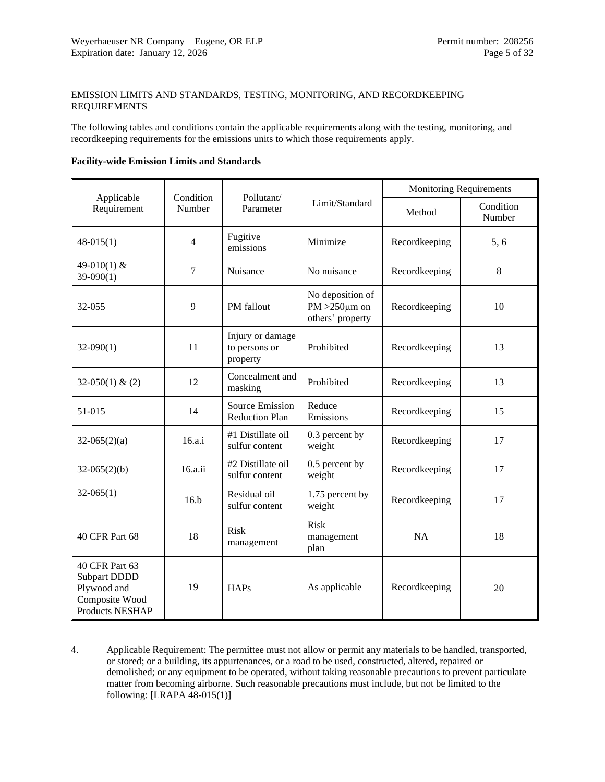## EMISSION LIMITS AND STANDARDS, TESTING, MONITORING, AND RECORDKEEPING REQUIREMENTS

The following tables and conditions contain the applicable requirements along with the testing, monitoring, and recordkeeping requirements for the emissions units to which those requirements apply.

### **Facility-wide Emission Limits and Standards**

|                                                                                                  |                     |                                                 |                                                            | <b>Monitoring Requirements</b> |                     |  |
|--------------------------------------------------------------------------------------------------|---------------------|-------------------------------------------------|------------------------------------------------------------|--------------------------------|---------------------|--|
| Applicable<br>Requirement                                                                        | Condition<br>Number | Pollutant/<br>Parameter                         | Limit/Standard<br>Method                                   |                                | Condition<br>Number |  |
| $48-015(1)$                                                                                      | $\overline{4}$      | Fugitive<br>emissions                           | Minimize                                                   | Recordkeeping                  | 5, 6                |  |
| 49-010(1) &<br>$39-090(1)$                                                                       | 7                   | Nuisance                                        | No nuisance                                                | Recordkeeping                  | 8                   |  |
| 32-055                                                                                           | 9                   | PM fallout                                      | No deposition of<br>PM $>250 \mu m$ on<br>others' property | Recordkeeping                  | 10                  |  |
| $32-090(1)$                                                                                      | 11                  | Injury or damage<br>to persons or<br>property   | Prohibited                                                 |                                | 13                  |  |
| $32-050(1) & (2)$                                                                                | 12                  | Concealment and<br>masking                      | Prohibited                                                 | Recordkeeping                  | 13                  |  |
| 51-015                                                                                           | 14                  | <b>Source Emission</b><br><b>Reduction Plan</b> | Reduce<br>Emissions                                        | Recordkeeping                  | 15                  |  |
| $32-065(2)(a)$                                                                                   | 16.a.i              | #1 Distillate oil<br>sulfur content             | 0.3 percent by<br>weight                                   | Recordkeeping                  | 17                  |  |
| $32-065(2)(b)$                                                                                   | 16.a.ii             | #2 Distillate oil<br>sulfur content             | 0.5 percent by<br>weight                                   | Recordkeeping                  | 17                  |  |
| $32-065(1)$                                                                                      | 16.b                | Residual oil<br>sulfur content                  | 1.75 percent by<br>weight                                  | Recordkeeping                  | 17                  |  |
| 40 CFR Part 68                                                                                   | 18                  | <b>Risk</b><br>management                       | <b>Risk</b><br>management<br>plan                          | NA                             | 18                  |  |
| 40 CFR Part 63<br><b>Subpart DDDD</b><br>Plywood and<br>Composite Wood<br><b>Products NESHAP</b> | 19                  | <b>HAPs</b>                                     | As applicable                                              | Recordkeeping                  | 20                  |  |

<span id="page-4-0"></span>4. Applicable Requirement: The permittee must not allow or permit any materials to be handled, transported, or stored; or a building, its appurtenances, or a road to be used, constructed, altered, repaired or demolished; or any equipment to be operated, without taking reasonable precautions to prevent particulate matter from becoming airborne. Such reasonable precautions must include, but not be limited to the following: [LRAPA 48-015(1)]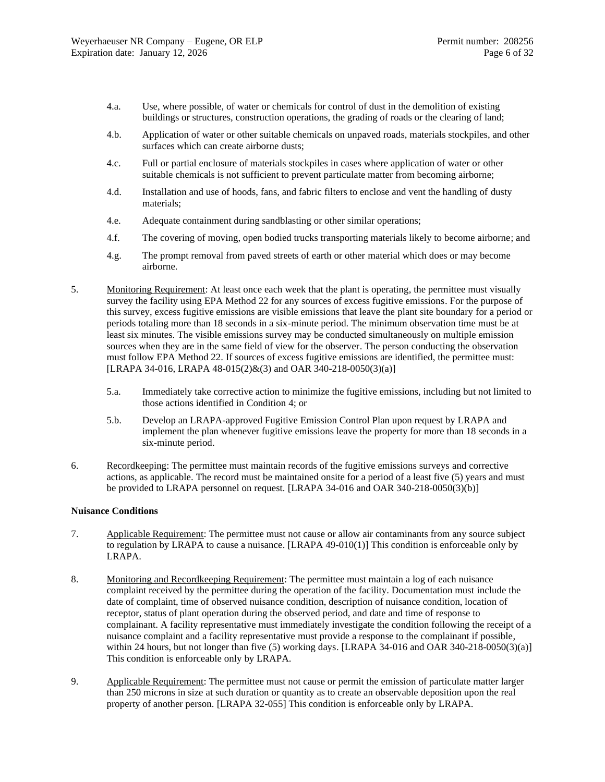- 4.a. Use, where possible, of water or chemicals for control of dust in the demolition of existing buildings or structures, construction operations, the grading of roads or the clearing of land;
- 4.b. Application of water or other suitable chemicals on unpaved roads, materials stockpiles, and other surfaces which can create airborne dusts;
- 4.c. Full or partial enclosure of materials stockpiles in cases where application of water or other suitable chemicals is not sufficient to prevent particulate matter from becoming airborne;
- 4.d. Installation and use of hoods, fans, and fabric filters to enclose and vent the handling of dusty materials;
- 4.e. Adequate containment during sandblasting or other similar operations;
- 4.f. The covering of moving, open bodied trucks transporting materials likely to become airborne; and
- 4.g. The prompt removal from paved streets of earth or other material which does or may become airborne.
- <span id="page-5-3"></span>5. Monitoring Requirement: At least once each week that the plant is operating, the permittee must visually survey the facility using EPA Method 22 for any sources of excess fugitive emissions. For the purpose of this survey, excess fugitive emissions are visible emissions that leave the plant site boundary for a period or periods totaling more than 18 seconds in a six-minute period. The minimum observation time must be at least six minutes. The visible emissions survey may be conducted simultaneously on multiple emission sources when they are in the same field of view for the observer. The person conducting the observation must follow EPA Method 22. If sources of excess fugitive emissions are identified, the permittee must: [LRAPA 34-016, LRAPA 48-015(2)&(3) and OAR 340-218-0050(3)(a)]
	- 5.a. Immediately take corrective action to minimize the fugitive emissions, including but not limited to those actions identified in Condition [4;](#page-4-0) or
	- 5.b. Develop an LRAPA-approved Fugitive Emission Control Plan upon request by LRAPA and implement the plan whenever fugitive emissions leave the property for more than 18 seconds in a six-minute period.
- <span id="page-5-4"></span>6. Recordkeeping: The permittee must maintain records of the fugitive emissions surveys and corrective actions, as applicable. The record must be maintained onsite for a period of a least five (5) years and must be provided to LRAPA personnel on request. [LRAPA 34-016 and OAR 340-218-0050(3)(b)]

## **Nuisance Conditions**

- <span id="page-5-0"></span>7. Applicable Requirement: The permittee must not cause or allow air contaminants from any source subject to regulation by LRAPA to cause a nuisance. [LRAPA 49-010(1)] This condition is enforceable only by LRAPA.
- <span id="page-5-1"></span>8. Monitoring and Recordkeeping Requirement: The permittee must maintain a log of each nuisance complaint received by the permittee during the operation of the facility. Documentation must include the date of complaint, time of observed nuisance condition, description of nuisance condition, location of receptor, status of plant operation during the observed period, and date and time of response to complainant. A facility representative must immediately investigate the condition following the receipt of a nuisance complaint and a facility representative must provide a response to the complainant if possible, within 24 hours, but not longer than five (5) working days. [LRAPA 34-016 and OAR 340-218-0050(3)(a)] This condition is enforceable only by LRAPA.
- <span id="page-5-2"></span>9. Applicable Requirement: The permittee must not cause or permit the emission of particulate matter larger than 250 microns in size at such duration or quantity as to create an observable deposition upon the real property of another person. [LRAPA 32-055] This condition is enforceable only by LRAPA.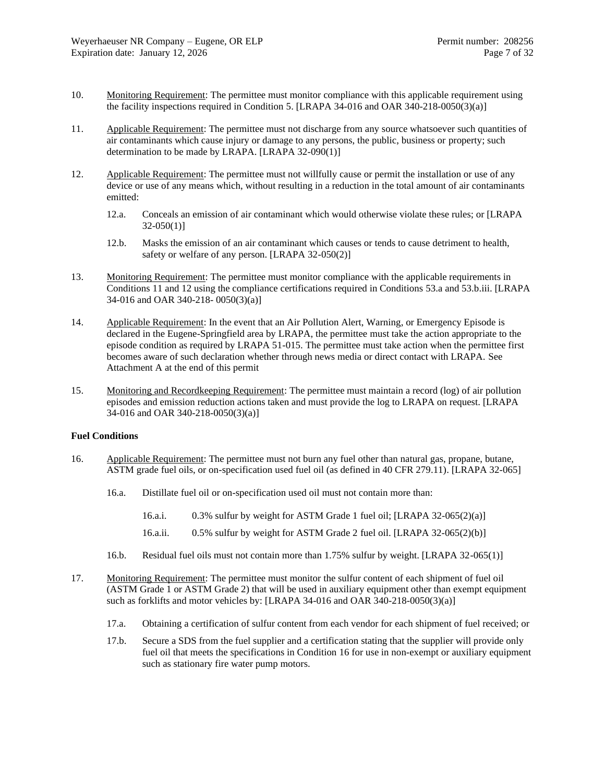- <span id="page-6-0"></span>10. Monitoring Requirement: The permittee must monitor compliance with this applicable requirement using the facility inspections required in Conditio[n 5.](#page-5-3) [LRAPA 34-016 and OAR 340-218-0050(3)(a)]
- <span id="page-6-1"></span>11. Applicable Requirement: The permittee must not discharge from any source whatsoever such quantities of air contaminants which cause injury or damage to any persons, the public, business or property; such determination to be made by LRAPA. [LRAPA 32-090(1)]
- <span id="page-6-3"></span>12. Applicable Requirement: The permittee must not willfully cause or permit the installation or use of any device or use of any means which, without resulting in a reduction in the total amount of air contaminants emitted:
	- 12.a. Conceals an emission of air contaminant which would otherwise violate these rules; or [LRAPA  $32-050(1)$ ]
	- 12.b. Masks the emission of an air contaminant which causes or tends to cause detriment to health, safety or welfare of any person. [LRAPA 32-050(2)]
- <span id="page-6-2"></span>13. Monitoring Requirement: The permittee must monitor compliance with the applicable requirements in Conditions [11](#page-6-1) and [12](#page-6-3) using the compliance certifications required in Conditions [53.a](#page-23-0) and [53.b.iii.](#page-23-1) [LRAPA 34-016 and OAR 340-218- 0050(3)(a)]
- <span id="page-6-4"></span>14. Applicable Requirement: In the event that an Air Pollution Alert, Warning, or Emergency Episode is declared in the Eugene-Springfield area by LRAPA, the permittee must take the action appropriate to the episode condition as required by LRAPA 51-015. The permittee must take action when the permittee first becomes aware of such declaration whether through news media or direct contact with LRAPA. See Attachment A at the end of this permit
- <span id="page-6-5"></span>15. Monitoring and Recordkeeping Requirement: The permittee must maintain a record (log) of air pollution episodes and emission reduction actions taken and must provide the log to LRAPA on request. [LRAPA 34-016 and OAR 340-218-0050(3)(a)]

#### **Fuel Conditions**

- <span id="page-6-10"></span><span id="page-6-6"></span>16. Applicable Requirement: The permittee must not burn any fuel other than natural gas, propane, butane, ASTM grade fuel oils, or on-specification used fuel oil (as defined in 40 CFR 279.11). [LRAPA 32-065]
	- 16.a. Distillate fuel oil or on-specification used oil must not contain more than:
		- 16.a.i. 0.3% sulfur by weight for ASTM Grade 1 fuel oil; [LRAPA 32-065(2)(a)]
		- 16.a.ii. 0.5% sulfur by weight for ASTM Grade 2 fuel oil. [LRAPA 32-065(2)(b)]
	- 16.b. Residual fuel oils must not contain more than 1.75% sulfur by weight. [LRAPA 32-065(1)]
- <span id="page-6-9"></span><span id="page-6-8"></span><span id="page-6-7"></span>17. Monitoring Requirement: The permittee must monitor the sulfur content of each shipment of fuel oil (ASTM Grade 1 or ASTM Grade 2) that will be used in auxiliary equipment other than exempt equipment such as forklifts and motor vehicles by: [LRAPA 34-016 and OAR 340-218-0050(3)(a)]
	- 17.a. Obtaining a certification of sulfur content from each vendor for each shipment of fuel received; or
	- 17.b. Secure a SDS from the fuel supplier and a certification stating that the supplier will provide only fuel oil that meets the specifications in Condition [16](#page-6-10) for use in non-exempt or auxiliary equipment such as stationary fire water pump motors.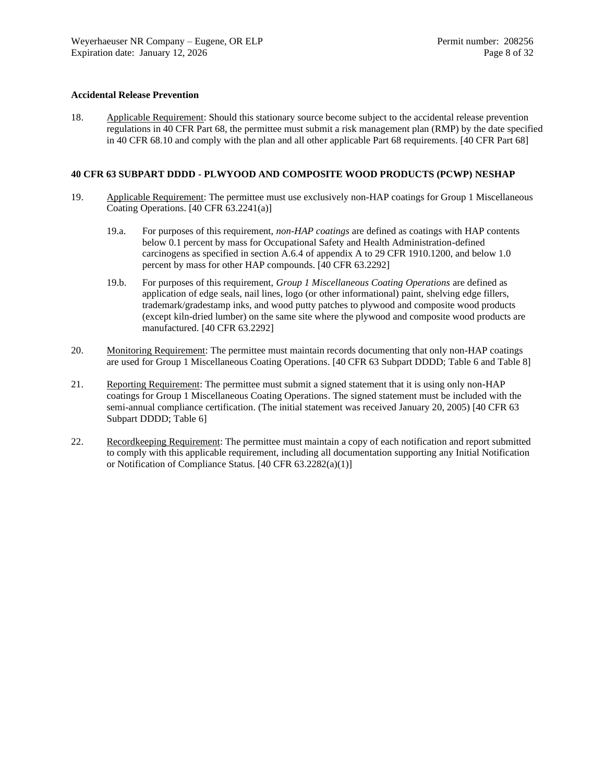### **Accidental Release Prevention**

<span id="page-7-0"></span>18. Applicable Requirement: Should this stationary source become subject to the accidental release prevention regulations in 40 CFR Part 68, the permittee must submit a risk management plan (RMP) by the date specified in 40 CFR 68.10 and comply with the plan and all other applicable Part 68 requirements. [40 CFR Part 68]

## **40 CFR 63 SUBPART DDDD - PLWYOOD AND COMPOSITE WOOD PRODUCTS (PCWP) NESHAP**

- <span id="page-7-1"></span>19. Applicable Requirement: The permittee must use exclusively non-HAP coatings for Group 1 Miscellaneous Coating Operations. [40 CFR 63.2241(a)]
	- 19.a. For purposes of this requirement, *non-HAP coatings* are defined as coatings with HAP contents below 0.1 percent by mass for Occupational Safety and Health Administration-defined carcinogens as specified in section A.6.4 of appendix A to 29 CFR 1910.1200, and below 1.0 percent by mass for other HAP compounds. [40 CFR 63.2292]
	- 19.b. For purposes of this requirement, *Group 1 Miscellaneous Coating Operations* are defined as application of edge seals, nail lines, logo (or other informational) paint, shelving edge fillers, trademark/gradestamp inks, and wood putty patches to plywood and composite wood products (except kiln-dried lumber) on the same site where the plywood and composite wood products are manufactured. [40 CFR 63.2292]
- <span id="page-7-2"></span>20. Monitoring Requirement: The permittee must maintain records documenting that only non-HAP coatings are used for Group 1 Miscellaneous Coating Operations. [40 CFR 63 Subpart DDDD; Table 6 and Table 8]
- 21. Reporting Requirement: The permittee must submit a signed statement that it is using only non-HAP coatings for Group 1 Miscellaneous Coating Operations. The signed statement must be included with the semi-annual compliance certification. (The initial statement was received January 20, 2005) [40 CFR 63 Subpart DDDD; Table 6]
- 22. Recordkeeping Requirement: The permittee must maintain a copy of each notification and report submitted to comply with this applicable requirement, including all documentation supporting any Initial Notification or Notification of Compliance Status. [40 CFR 63.2282(a)(1)]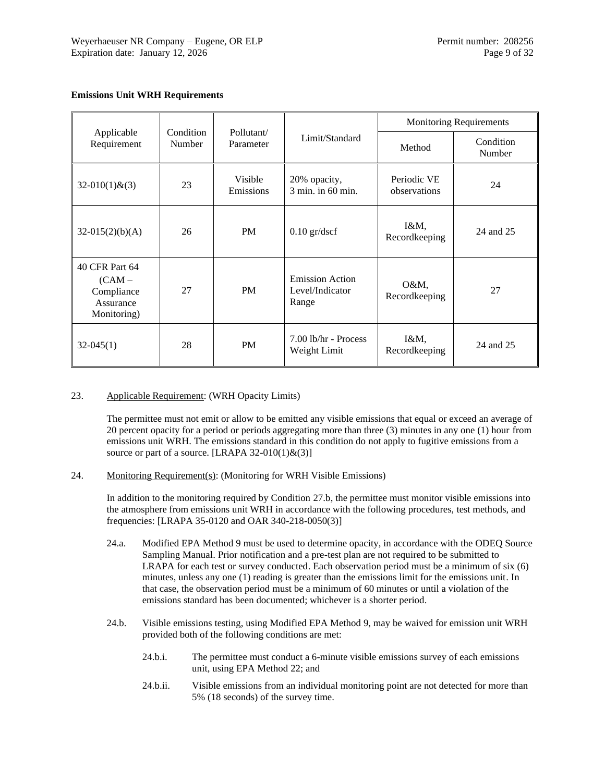## **Emissions Unit WRH Requirements**

|                                                                    |                     |                         |                                                    | <b>Monitoring Requirements</b> |                     |  |
|--------------------------------------------------------------------|---------------------|-------------------------|----------------------------------------------------|--------------------------------|---------------------|--|
| Applicable<br>Requirement                                          | Condition<br>Number | Pollutant/<br>Parameter | Limit/Standard                                     | Method                         | Condition<br>Number |  |
| $32-010(1)$ & $(3)$                                                | 23                  | Visible<br>Emissions    | 20% opacity,<br>3 min. in 60 min.                  | Periodic VE<br>observations    | 24                  |  |
| $32-015(2)(b)(A)$                                                  | 26                  | <b>PM</b>               | $0.10$ gr/dscf                                     | $I\&M,$<br>Recordkeeping       | 24 and 25           |  |
| 40 CFR Part 64<br>(CAM –<br>Compliance<br>Assurance<br>Monitoring) | 27                  | <b>PM</b>               | <b>Emission Action</b><br>Level/Indicator<br>Range | O&M,<br>Recordkeeping          | 27                  |  |
| $32-045(1)$                                                        | 28                  | <b>PM</b>               | 7.00 lb/hr - Process<br>Weight Limit               | $I\&M,$<br>Recordkeeping       | 24 and 25           |  |

<span id="page-8-0"></span>23. Applicable Requirement: (WRH Opacity Limits)

The permittee must not emit or allow to be emitted any visible emissions that equal or exceed an average of 20 percent opacity for a period or periods aggregating more than three (3) minutes in any one (1) hour from emissions unit WRH. The emissions standard in this condition do not apply to fugitive emissions from a source or part of a source. [LRAPA 32-010(1) $\&(3)$ ]

<span id="page-8-1"></span>24. Monitoring Requirement(s): (Monitoring for WRH Visible Emissions)

In addition to the monitoring required by Condition [27.b,](#page-9-3) the permittee must monitor visible emissions into the atmosphere from emissions unit WRH in accordance with the following procedures, test methods, and frequencies: [LRAPA 35-0120 and OAR 340-218-0050(3)]

- 24.a. Modified EPA Method 9 must be used to determine opacity, in accordance with the ODEQ Source Sampling Manual. Prior notification and a pre-test plan are not required to be submitted to LRAPA for each test or survey conducted. Each observation period must be a minimum of six (6) minutes, unless any one (1) reading is greater than the emissions limit for the emissions unit. In that case, the observation period must be a minimum of 60 minutes or until a violation of the emissions standard has been documented; whichever is a shorter period.
- 24.b. Visible emissions testing, using Modified EPA Method 9, may be waived for emission unit WRH provided both of the following conditions are met:
	- 24.b.i. The permittee must conduct a 6-minute visible emissions survey of each emissions unit, using EPA Method 22; and
	- 24.b.ii. Visible emissions from an individual monitoring point are not detected for more than 5% (18 seconds) of the survey time.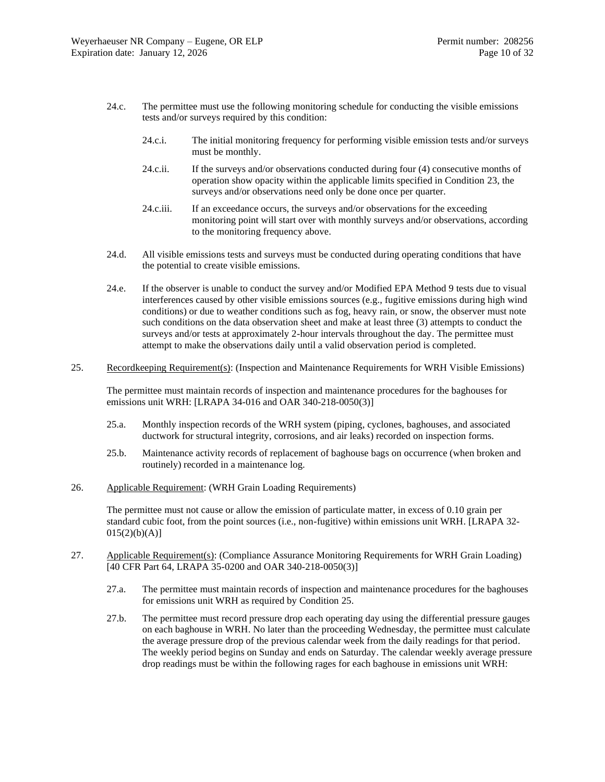- 24.c. The permittee must use the following monitoring schedule for conducting the visible emissions tests and/or surveys required by this condition:
	- 24.c.i. The initial monitoring frequency for performing visible emission tests and/or surveys must be monthly.
	- 24.c.ii. If the surveys and/or observations conducted during four (4) consecutive months of operation show opacity within the applicable limits specified in Condition [23,](#page-8-0) the surveys and/or observations need only be done once per quarter.
	- 24.c.iii. If an exceedance occurs, the surveys and/or observations for the exceeding monitoring point will start over with monthly surveys and/or observations, according to the monitoring frequency above.
- 24.d. All visible emissions tests and surveys must be conducted during operating conditions that have the potential to create visible emissions.
- 24.e. If the observer is unable to conduct the survey and/or Modified EPA Method 9 tests due to visual interferences caused by other visible emissions sources (e.g., fugitive emissions during high wind conditions) or due to weather conditions such as fog, heavy rain, or snow, the observer must note such conditions on the data observation sheet and make at least three (3) attempts to conduct the surveys and/or tests at approximately 2-hour intervals throughout the day. The permittee must attempt to make the observations daily until a valid observation period is completed.
- <span id="page-9-1"></span>25. Recordkeeping Requirement(s): (Inspection and Maintenance Requirements for WRH Visible Emissions)

The permittee must maintain records of inspection and maintenance procedures for the baghouses for emissions unit WRH: [LRAPA 34-016 and OAR 340-218-0050(3)]

- 25.a. Monthly inspection records of the WRH system (piping, cyclones, baghouses, and associated ductwork for structural integrity, corrosions, and air leaks) recorded on inspection forms.
- 25.b. Maintenance activity records of replacement of baghouse bags on occurrence (when broken and routinely) recorded in a maintenance log.
- <span id="page-9-0"></span>26. Applicable Requirement: (WRH Grain Loading Requirements)

The permittee must not cause or allow the emission of particulate matter, in excess of 0.10 grain per standard cubic foot, from the point sources (i.e., non-fugitive) within emissions unit WRH. [LRAPA 32-  $015(2)(b)(A)]$ 

- <span id="page-9-3"></span><span id="page-9-2"></span>27. Applicable Requirement(s): (Compliance Assurance Monitoring Requirements for WRH Grain Loading) [40 CFR Part 64, LRAPA 35-0200 and OAR 340-218-0050(3)]
	- 27.a. The permittee must maintain records of inspection and maintenance procedures for the baghouses for emissions unit WRH as required by Condition [25.](#page-9-1)
	- 27.b. The permittee must record pressure drop each operating day using the differential pressure gauges on each baghouse in WRH. No later than the proceeding Wednesday, the permittee must calculate the average pressure drop of the previous calendar week from the daily readings for that period. The weekly period begins on Sunday and ends on Saturday. The calendar weekly average pressure drop readings must be within the following rages for each baghouse in emissions unit WRH: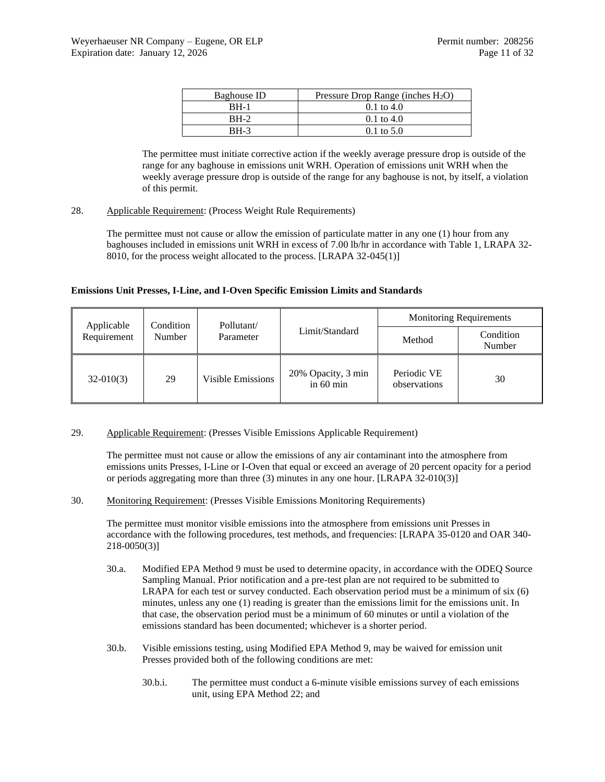| Baghouse ID | Pressure Drop Range (inches $H_2O$ ) |
|-------------|--------------------------------------|
| <b>BH-1</b> | $0.1 \text{ to } 4.0$                |
| $RH-2$      | $0.1 \text{ to } 4.0$                |
| BH-3        | $0.1 \text{ to } 5.0$                |

The permittee must initiate corrective action if the weekly average pressure drop is outside of the range for any baghouse in emissions unit WRH. Operation of emissions unit WRH when the weekly average pressure drop is outside of the range for any baghouse is not, by itself, a violation of this permit.

## <span id="page-10-0"></span>28. Applicable Requirement: (Process Weight Rule Requirements)

The permittee must not cause or allow the emission of particulate matter in any one (1) hour from any baghouses included in emissions unit WRH in excess of 7.00 lb/hr in accordance with Table 1, LRAPA 32- 8010, for the process weight allocated to the process. [LRAPA 32-045(1)]

## **Emissions Unit Presses, I-Line, and I-Oven Specific Emission Limits and Standards**

| Applicable  | Condition |                          | Pollutant/                      |                             | <b>Monitoring Requirements</b> |
|-------------|-----------|--------------------------|---------------------------------|-----------------------------|--------------------------------|
| Requirement | Number    | Parameter                | Limit/Standard                  | Method                      | Condition<br>Number            |
| $32-010(3)$ | 29        | <b>Visible Emissions</b> | 20% Opacity, 3 min<br>in 60 min | Periodic VE<br>observations | 30                             |

#### <span id="page-10-1"></span>29. Applicable Requirement: (Presses Visible Emissions Applicable Requirement)

The permittee must not cause or allow the emissions of any air contaminant into the atmosphere from emissions units Presses, I-Line or I-Oven that equal or exceed an average of 20 percent opacity for a period or periods aggregating more than three (3) minutes in any one hour. [LRAPA 32-010(3)]

<span id="page-10-2"></span>30. Monitoring Requirement: (Presses Visible Emissions Monitoring Requirements)

The permittee must monitor visible emissions into the atmosphere from emissions unit Presses in accordance with the following procedures, test methods, and frequencies: [LRAPA 35-0120 and OAR 340- 218-0050(3)]

- 30.a. Modified EPA Method 9 must be used to determine opacity, in accordance with the ODEQ Source Sampling Manual. Prior notification and a pre-test plan are not required to be submitted to LRAPA for each test or survey conducted. Each observation period must be a minimum of six (6) minutes, unless any one (1) reading is greater than the emissions limit for the emissions unit. In that case, the observation period must be a minimum of 60 minutes or until a violation of the emissions standard has been documented; whichever is a shorter period.
- 30.b. Visible emissions testing, using Modified EPA Method 9, may be waived for emission unit Presses provided both of the following conditions are met:
	- 30.b.i. The permittee must conduct a 6-minute visible emissions survey of each emissions unit, using EPA Method 22; and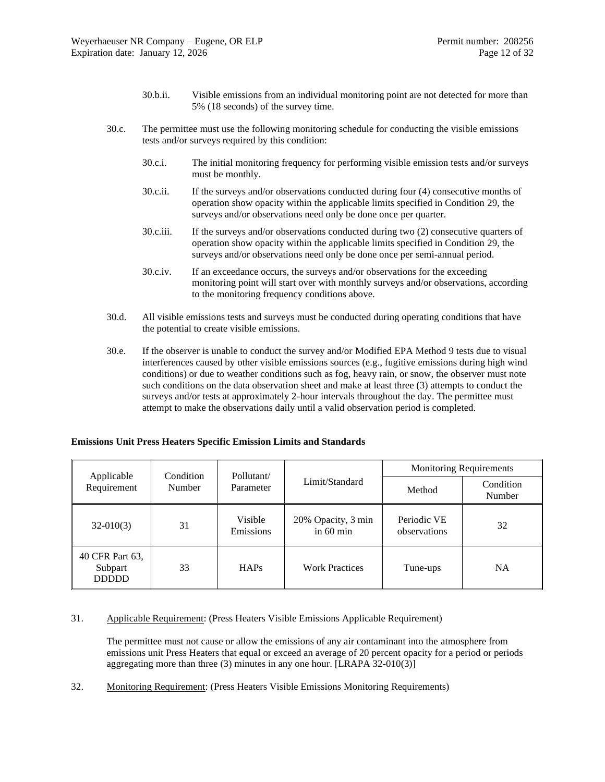- 30.b.ii. Visible emissions from an individual monitoring point are not detected for more than 5% (18 seconds) of the survey time.
- 30.c. The permittee must use the following monitoring schedule for conducting the visible emissions tests and/or surveys required by this condition:
	- 30.c.i. The initial monitoring frequency for performing visible emission tests and/or surveys must be monthly.
	- 30.c.ii. If the surveys and/or observations conducted during four (4) consecutive months of operation show opacity within the applicable limits specified in Condition [29,](#page-10-1) the surveys and/or observations need only be done once per quarter.
	- 30.c.iii. If the surveys and/or observations conducted during two (2) consecutive quarters of operation show opacity within the applicable limits specified in Condition [29,](#page-10-1) the surveys and/or observations need only be done once per semi-annual period.
	- 30.c.iv. If an exceedance occurs, the surveys and/or observations for the exceeding monitoring point will start over with monthly surveys and/or observations, according to the monitoring frequency conditions above.
- 30.d. All visible emissions tests and surveys must be conducted during operating conditions that have the potential to create visible emissions.
- 30.e. If the observer is unable to conduct the survey and/or Modified EPA Method 9 tests due to visual interferences caused by other visible emissions sources (e.g., fugitive emissions during high wind conditions) or due to weather conditions such as fog, heavy rain, or snow, the observer must note such conditions on the data observation sheet and make at least three (3) attempts to conduct the surveys and/or tests at approximately 2-hour intervals throughout the day. The permittee must attempt to make the observations daily until a valid observation period is completed.

| <b>Emissions Unit Press Heaters Specific Emission Limits and Standards</b> |  |  |  |  |  |  |  |  |
|----------------------------------------------------------------------------|--|--|--|--|--|--|--|--|
|----------------------------------------------------------------------------|--|--|--|--|--|--|--|--|

| Condition<br>Applicable                    |        | Pollutant/           |                                   | <b>Monitoring Requirements</b> |                     |  |
|--------------------------------------------|--------|----------------------|-----------------------------------|--------------------------------|---------------------|--|
| Requirement                                | Number | Parameter            | Limit/Standard                    | Method                         | Condition<br>Number |  |
| $32-010(3)$                                | 31     | Visible<br>Emissions | 20% Opacity, 3 min<br>in $60$ min | Periodic VE<br>observations    | 32                  |  |
| 40 CFR Part 63,<br>Subpart<br><b>DDDDD</b> | 33     | <b>HAPs</b>          | <b>Work Practices</b>             | Tune-ups                       | <b>NA</b>           |  |

## <span id="page-11-0"></span>31. Applicable Requirement: (Press Heaters Visible Emissions Applicable Requirement)

The permittee must not cause or allow the emissions of any air contaminant into the atmosphere from emissions unit Press Heaters that equal or exceed an average of 20 percent opacity for a period or periods aggregating more than three (3) minutes in any one hour. [LRAPA 32-010(3)]

<span id="page-11-1"></span>32. Monitoring Requirement: (Press Heaters Visible Emissions Monitoring Requirements)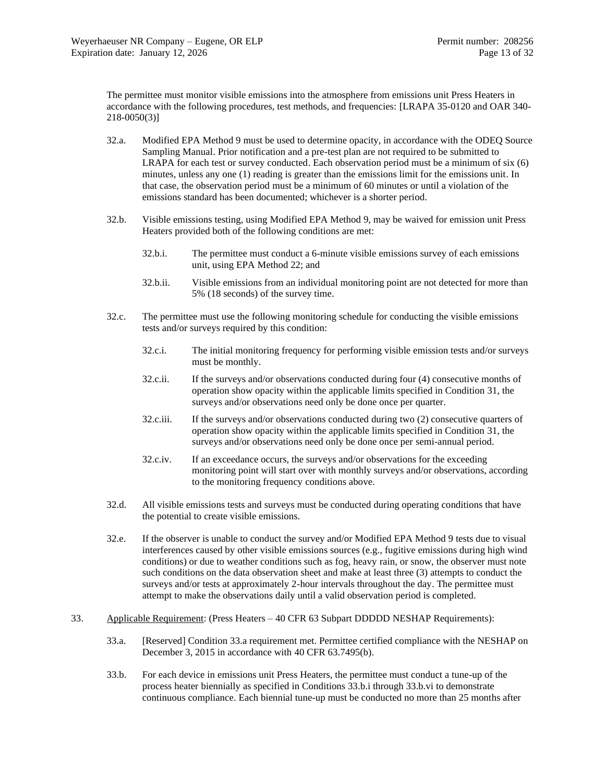The permittee must monitor visible emissions into the atmosphere from emissions unit Press Heaters in accordance with the following procedures, test methods, and frequencies: [LRAPA 35-0120 and OAR 340- 218-0050(3)]

- 32.a. Modified EPA Method 9 must be used to determine opacity, in accordance with the ODEQ Source Sampling Manual. Prior notification and a pre-test plan are not required to be submitted to LRAPA for each test or survey conducted. Each observation period must be a minimum of six (6) minutes, unless any one (1) reading is greater than the emissions limit for the emissions unit. In that case, the observation period must be a minimum of 60 minutes or until a violation of the emissions standard has been documented; whichever is a shorter period.
- 32.b. Visible emissions testing, using Modified EPA Method 9, may be waived for emission unit Press Heaters provided both of the following conditions are met:
	- 32.b.i. The permittee must conduct a 6-minute visible emissions survey of each emissions unit, using EPA Method 22; and
	- 32.b.ii. Visible emissions from an individual monitoring point are not detected for more than 5% (18 seconds) of the survey time.
- 32.c. The permittee must use the following monitoring schedule for conducting the visible emissions tests and/or surveys required by this condition:
	- 32.c.i. The initial monitoring frequency for performing visible emission tests and/or surveys must be monthly.
	- 32.c.ii. If the surveys and/or observations conducted during four (4) consecutive months of operation show opacity within the applicable limits specified in Condition [31,](#page-11-0) the surveys and/or observations need only be done once per quarter.
	- 32.c.iii. If the surveys and/or observations conducted during two (2) consecutive quarters of operation show opacity within the applicable limits specified in Condition [31,](#page-11-0) the surveys and/or observations need only be done once per semi-annual period.
	- 32.c.iv. If an exceedance occurs, the surveys and/or observations for the exceeding monitoring point will start over with monthly surveys and/or observations, according to the monitoring frequency conditions above.
- 32.d. All visible emissions tests and surveys must be conducted during operating conditions that have the potential to create visible emissions.
- 32.e. If the observer is unable to conduct the survey and/or Modified EPA Method 9 tests due to visual interferences caused by other visible emissions sources (e.g., fugitive emissions during high wind conditions) or due to weather conditions such as fog, heavy rain, or snow, the observer must note such conditions on the data observation sheet and make at least three (3) attempts to conduct the surveys and/or tests at approximately 2-hour intervals throughout the day. The permittee must attempt to make the observations daily until a valid observation period is completed.
- <span id="page-12-1"></span><span id="page-12-0"></span>33. Applicable Requirement: (Press Heaters – 40 CFR 63 Subpart DDDDD NESHAP Requirements):
	- 33.a. [Reserved] Condition [33.a](#page-12-1) requirement met. Permittee certified compliance with the NESHAP on December 3, 2015 in accordance with 40 CFR 63.7495(b).
	- 33.b. For each device in emissions unit Press Heaters, the permittee must conduct a tune-up of the process heater biennially as specified in Conditions [33.b.i](#page-13-0) through [33.b.vi](#page-13-1) to demonstrate continuous compliance. Each biennial tune-up must be conducted no more than 25 months after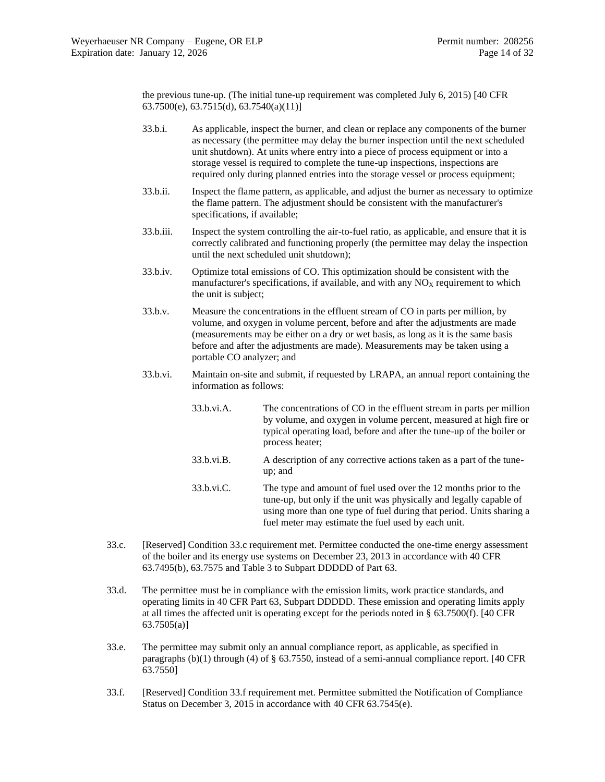the previous tune-up. (The initial tune-up requirement was completed July 6, 2015) [40 CFR 63.7500(e), 63.7515(d), 63.7540(a)(11)]

- <span id="page-13-0"></span>33.b.i. As applicable, inspect the burner, and clean or replace any components of the burner as necessary (the permittee may delay the burner inspection until the next scheduled unit shutdown). At units where entry into a piece of process equipment or into a storage vessel is required to complete the tune-up inspections, inspections are required only during planned entries into the storage vessel or process equipment;
- 33.b.ii. Inspect the flame pattern, as applicable, and adjust the burner as necessary to optimize the flame pattern. The adjustment should be consistent with the manufacturer's specifications, if available;
- 33.b.iii. Inspect the system controlling the air-to-fuel ratio, as applicable, and ensure that it is correctly calibrated and functioning properly (the permittee may delay the inspection until the next scheduled unit shutdown);
- 33.b.iv. Optimize total emissions of CO. This optimization should be consistent with the manufacturer's specifications, if available, and with any  $NO<sub>X</sub>$  requirement to which the unit is subject;
- 33.b.v. Measure the concentrations in the effluent stream of CO in parts per million, by volume, and oxygen in volume percent, before and after the adjustments are made (measurements may be either on a dry or wet basis, as long as it is the same basis before and after the adjustments are made). Measurements may be taken using a portable CO analyzer; and
- <span id="page-13-1"></span>33.b.vi. Maintain on-site and submit, if requested by LRAPA, an annual report containing the information as follows:
	- 33.b.vi.A. The concentrations of CO in the effluent stream in parts per million by volume, and oxygen in volume percent, measured at high fire or typical operating load, before and after the tune-up of the boiler or process heater;
	- 33.b.vi.B. A description of any corrective actions taken as a part of the tuneup; and
	- 33.b.vi.C. The type and amount of fuel used over the 12 months prior to the tune-up, but only if the unit was physically and legally capable of using more than one type of fuel during that period. Units sharing a fuel meter may estimate the fuel used by each unit.
- <span id="page-13-2"></span>33.c. [Reserved] Condition [33.c](#page-13-2) requirement met. Permittee conducted the one-time energy assessment of the boiler and its energy use systems on December 23, 2013 in accordance with 40 CFR 63.7495(b), 63.7575 and Table 3 to Subpart DDDDD of Part 63.
- 33.d. The permittee must be in compliance with the emission limits, work practice standards, and operating limits in 40 CFR Part 63, Subpart DDDDD. These emission and operating limits apply at all times the affected unit is operating except for the periods noted in § 63.7500(f). [40 CFR 63.7505(a)]
- <span id="page-13-4"></span>33.e. The permittee may submit only an annual compliance report, as applicable, as specified in paragraphs  $(b)(1)$  through (4) of § 63.7550, instead of a semi-annual compliance report. [40 CFR 63.7550]
- <span id="page-13-3"></span>33.f. [Reserved] Condition [33.f](#page-13-3) requirement met. Permittee submitted the Notification of Compliance Status on December 3, 2015 in accordance with 40 CFR 63.7545(e).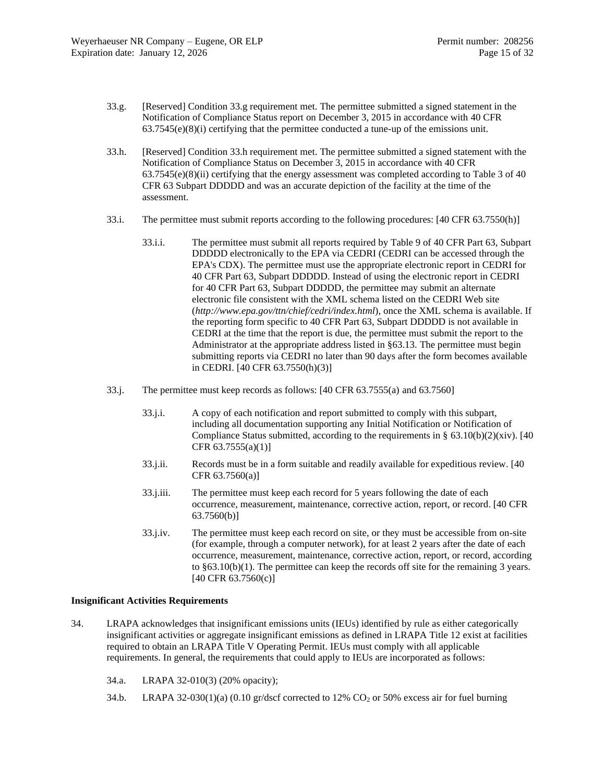- <span id="page-14-0"></span>33.g. [Reserved] Condition [33.g](#page-14-0) requirement met. The permittee submitted a signed statement in the Notification of Compliance Status report on December 3, 2015 in accordance with 40 CFR  $63.7545(e)(8)(i)$  certifying that the permittee conducted a tune-up of the emissions unit.
- <span id="page-14-1"></span>33.h. [Reserved] Condition [33.h](#page-14-1) requirement met. The permittee submitted a signed statement with the Notification of Compliance Status on December 3, 2015 in accordance with 40 CFR  $63.7545(e)(8)(ii)$  certifying that the energy assessment was completed according to Table 3 of 40 CFR 63 Subpart DDDDD and was an accurate depiction of the facility at the time of the assessment.
- 33.i. The permittee must submit reports according to the following procedures: [40 CFR 63.7550(h)]
	- 33.i.i. The permittee must submit all reports required by Table 9 of 40 CFR Part 63, Subpart DDDDD electronically to the EPA via CEDRI (CEDRI can be accessed through the EPA's CDX). The permittee must use the appropriate electronic report in CEDRI for 40 CFR Part 63, Subpart DDDDD. Instead of using the electronic report in CEDRI for 40 CFR Part 63, Subpart DDDDD, the permittee may submit an alternate electronic file consistent with the XML schema listed on the CEDRI Web site (*http://www.epa.gov/ttn/chief/cedri/index.html*), once the XML schema is available. If the reporting form specific to 40 CFR Part 63, Subpart DDDDD is not available in CEDRI at the time that the report is due, the permittee must submit the report to the Administrator at the appropriate address listed in §63.13. The permittee must begin submitting reports via CEDRI no later than 90 days after the form becomes available in CEDRI. [40 CFR 63.7550(h)(3)]
- <span id="page-14-2"></span>33.j. The permittee must keep records as follows: [40 CFR 63.7555(a) and 63.7560]
	- 33.j.i. A copy of each notification and report submitted to comply with this subpart, including all documentation supporting any Initial Notification or Notification of Compliance Status submitted, according to the requirements in  $\S$  63.10(b)(2)(xiv). [40] CFR  $63.7555(a)(1)$ ]
	- 33.j.ii. Records must be in a form suitable and readily available for expeditious review. [40 CFR 63.7560(a)]
	- 33.j.iii. The permittee must keep each record for 5 years following the date of each occurrence, measurement, maintenance, corrective action, report, or record. [40 CFR 63.7560(b)]
	- 33.j.iv. The permittee must keep each record on site, or they must be accessible from on-site (for example, through a computer network), for at least 2 years after the date of each occurrence, measurement, maintenance, corrective action, report, or record, according to  $§63.10(b)(1)$ . The permittee can keep the records off site for the remaining 3 years. [40 CFR 63.7560(c)]

## **Insignificant Activities Requirements**

- 34. LRAPA acknowledges that insignificant emissions units (IEUs) identified by rule as either categorically insignificant activities or aggregate insignificant emissions as defined in LRAPA Title 12 exist at facilities required to obtain an LRAPA Title V Operating Permit. IEUs must comply with all applicable requirements. In general, the requirements that could apply to IEUs are incorporated as follows:
	- 34.a. LRAPA 32-010(3) (20% opacity);
	- 34.b. LRAPA 32-030(1)(a) (0.10 gr/dscf corrected to 12%  $CO<sub>2</sub>$  or 50% excess air for fuel burning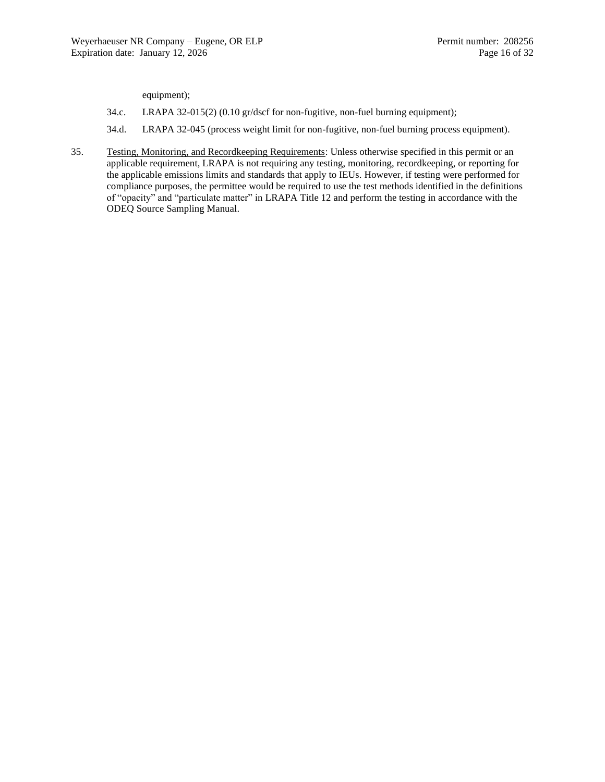equipment);

- 34.c. LRAPA 32-015(2) (0.10 gr/dscf for non-fugitive, non-fuel burning equipment);
- 34.d. LRAPA 32-045 (process weight limit for non-fugitive, non-fuel burning process equipment).
- 35. Testing, Monitoring, and Recordkeeping Requirements: Unless otherwise specified in this permit or an applicable requirement, LRAPA is not requiring any testing, monitoring, recordkeeping, or reporting for the applicable emissions limits and standards that apply to IEUs. However, if testing were performed for compliance purposes, the permittee would be required to use the test methods identified in the definitions of "opacity" and "particulate matter" in LRAPA Title 12 and perform the testing in accordance with the ODEQ Source Sampling Manual.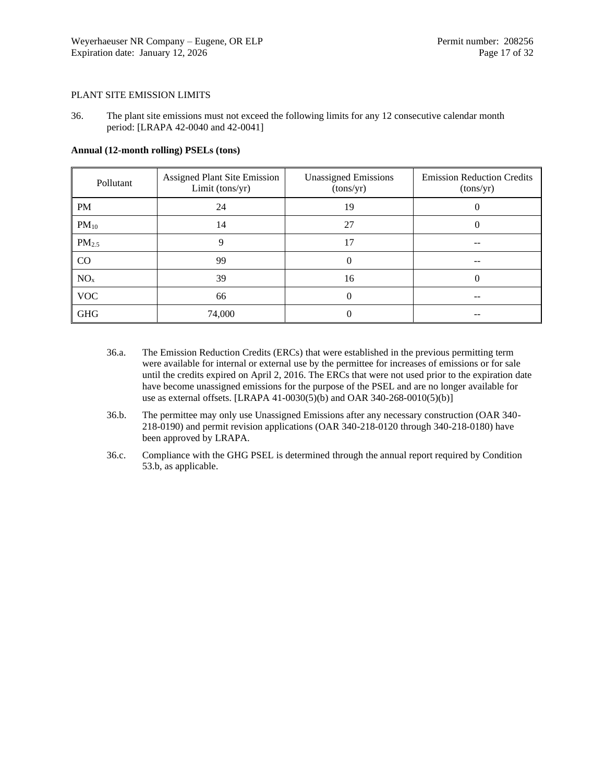## PLANT SITE EMISSION LIMITS

36. The plant site emissions must not exceed the following limits for any 12 consecutive calendar month period: [LRAPA 42-0040 and 42-0041]

| Pollutant         | <b>Assigned Plant Site Emission</b><br>Limit (tons/yr) | <b>Unassigned Emissions</b><br>(tons/yr) | <b>Emission Reduction Credits</b><br>(tons/yr) |
|-------------------|--------------------------------------------------------|------------------------------------------|------------------------------------------------|
| <b>PM</b>         | 24                                                     | 19                                       |                                                |
| $PM_{10}$         | 14                                                     | 27                                       | $\theta$                                       |
| PM <sub>2.5</sub> | 9                                                      | 17                                       |                                                |
| CO                | 99                                                     | 0                                        | --                                             |
| NO <sub>x</sub>   | 39                                                     | 16                                       | 0                                              |
| <b>VOC</b>        | 66                                                     | 0                                        | --                                             |
| <b>GHG</b>        | 74,000                                                 |                                          |                                                |

## **Annual (12-month rolling) PSELs (tons)**

- 36.a. The Emission Reduction Credits (ERCs) that were established in the previous permitting term were available for internal or external use by the permittee for increases of emissions or for sale until the credits expired on April 2, 2016. The ERCs that were not used prior to the expiration date have become unassigned emissions for the purpose of the PSEL and are no longer available for use as external offsets. [LRAPA 41-0030(5)(b) and OAR 340-268-0010(5)(b)]
- 36.b. The permittee may only use Unassigned Emissions after any necessary construction (OAR 340- 218-0190) and permit revision applications (OAR 340-218-0120 through 340-218-0180) have been approved by LRAPA.
- 36.c. Compliance with the GHG PSEL is determined through the annual report required by Condition [53.b,](#page-23-2) as applicable.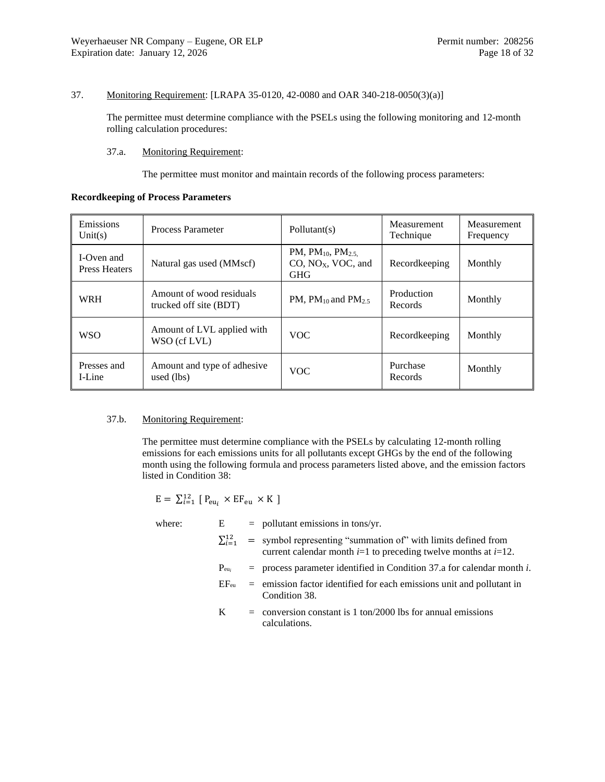## <span id="page-17-2"></span>37. Monitoring Requirement: [LRAPA 35-0120, 42-0080 and OAR 340-218-0050(3)(a)]

The permittee must determine compliance with the PSELs using the following monitoring and 12-month rolling calculation procedures:

#### <span id="page-17-0"></span>37.a. Monitoring Requirement:

The permittee must monitor and maintain records of the following process parameters:

## **Recordkeeping of Process Parameters**

| Emissions<br>Unit(s)               | <b>Process Parameter</b>                           | Pollutant(s)                                                 | Measurement<br>Technique | Measurement<br>Frequency |
|------------------------------------|----------------------------------------------------|--------------------------------------------------------------|--------------------------|--------------------------|
| I-Oven and<br><b>Press Heaters</b> | Natural gas used (MMscf)                           | PM, $PM_{10}$ , $PM_{2.5}$<br>$CO$ , $NOX$ , VOC, and<br>GHG | Recordkeeping            | Monthly                  |
| <b>WRH</b>                         | Amount of wood residuals<br>trucked off site (BDT) | PM, $PM_{10}$ and $PM_{2.5}$                                 | Production<br>Records    | Monthly                  |
| <b>WSO</b>                         | Amount of LVL applied with<br>WSO (cf LVL)         | <b>VOC</b>                                                   | Recordkeeping            | Monthly                  |
| Presses and<br>I-Line              | Amount and type of adhesive<br>used (lbs)          | <b>VOC</b>                                                   | Purchase<br>Records      | Monthly                  |

#### <span id="page-17-1"></span>37.b. Monitoring Requirement:

The permittee must determine compliance with the PSELs by calculating 12-month rolling emissions for each emissions units for all pollutants except GHGs by the end of the following month using the following formula and process parameters listed above, and the emission factors listed in Condition [38:](#page-18-0)

$$
E = \sum_{i=1}^{12} [P_{eu_i} \times EF_{eu} \times K]
$$

where:  $E = \text{pollutant emissions in tons/yr.}$ 

 $\sum_{i=1}^{12}$  = symbol representing "summation of" with limits defined from current calendar month  $i=1$  to preceding twelve months at  $i=12$ .

 $P_{\text{eu}_i}$  = process parameter identified in Condition [37.a](#page-17-0) for calendar month *i*.

- $EF_{eu}$  = emission factor identified for each emissions unit and pollutant in Condition [38.](#page-18-0)
- $K =$  conversion constant is 1 ton/2000 lbs for annual emissions calculations.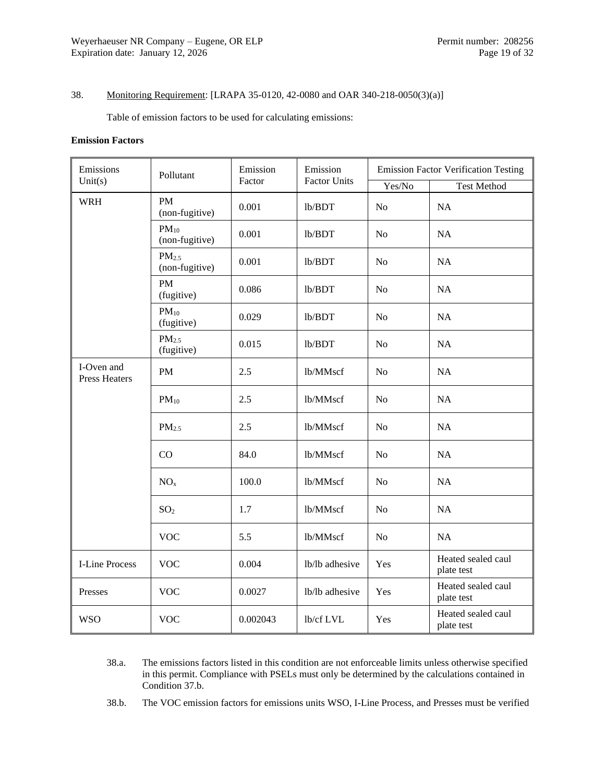## <span id="page-18-0"></span>38. Monitoring Requirement: [LRAPA 35-0120, 42-0080 and OAR 340-218-0050(3)(a)]

Table of emission factors to be used for calculating emissions:

#### **Emission Factors**

| Emissions<br>Unit $(s)$            | Pollutant                           | Emission<br>Factor | Emission<br><b>Factor Units</b> | <b>Emission Factor Verification Testing</b> |                                  |
|------------------------------------|-------------------------------------|--------------------|---------------------------------|---------------------------------------------|----------------------------------|
|                                    |                                     |                    |                                 | Yes/No                                      | <b>Test Method</b>               |
| <b>WRH</b>                         | <b>PM</b><br>(non-fugitive)         | 0.001              | lb/BDT                          | No                                          | NA                               |
|                                    | $PM_{10}$<br>(non-fugitive)         | 0.001              | lb/BDT                          | N <sub>o</sub>                              | NA                               |
|                                    | PM <sub>2.5</sub><br>(non-fugitive) | 0.001              | lb/BDT                          | N <sub>o</sub>                              | NA                               |
|                                    | <b>PM</b><br>(fugitive)             | 0.086              | lb/BDT                          | N <sub>o</sub>                              | NA                               |
|                                    | $PM_{10}$<br>(fugitive)             | 0.029              | lb/BDT                          | N <sub>o</sub>                              | NA                               |
|                                    | PM <sub>2.5</sub><br>(fugitive)     | 0.015              | lb/BDT                          | N <sub>o</sub>                              | NA                               |
| I-Oven and<br><b>Press Heaters</b> | PM                                  | 2.5                | lb/MMscf                        | N <sub>o</sub>                              | NA                               |
|                                    | $PM_{10}$                           | 2.5                | lb/MMscf                        | N <sub>o</sub>                              | NA                               |
|                                    | PM <sub>2.5</sub>                   | 2.5                | lb/MMscf                        | N <sub>o</sub>                              | NA                               |
|                                    | CO                                  | 84.0               | lb/MMscf                        | N <sub>o</sub>                              | NA                               |
|                                    | NO <sub>x</sub>                     | 100.0              | lb/MMscf                        | N <sub>o</sub>                              | <b>NA</b>                        |
|                                    | SO <sub>2</sub>                     | 1.7                | lb/MMscf                        | N <sub>o</sub>                              | NA                               |
|                                    | <b>VOC</b>                          | 5.5                | lb/MMscf                        | N <sub>o</sub>                              | NA                               |
| <b>I-Line Process</b>              | <b>VOC</b>                          | 0.004              | lb/lb adhesive                  | Yes                                         | Heated sealed caul<br>plate test |
| Presses                            | <b>VOC</b>                          | 0.0027             | lb/lb adhesive                  | Yes                                         | Heated sealed caul<br>plate test |
| <b>WSO</b>                         | <b>VOC</b>                          | 0.002043           | lb/cf LVL                       | Yes                                         | Heated sealed caul<br>plate test |

- 38.a. The emissions factors listed in this condition are not enforceable limits unless otherwise specified in this permit. Compliance with PSELs must only be determined by the calculations contained in Condition [37.b.](#page-17-1)
- 38.b. The VOC emission factors for emissions units WSO, I-Line Process, and Presses must be verified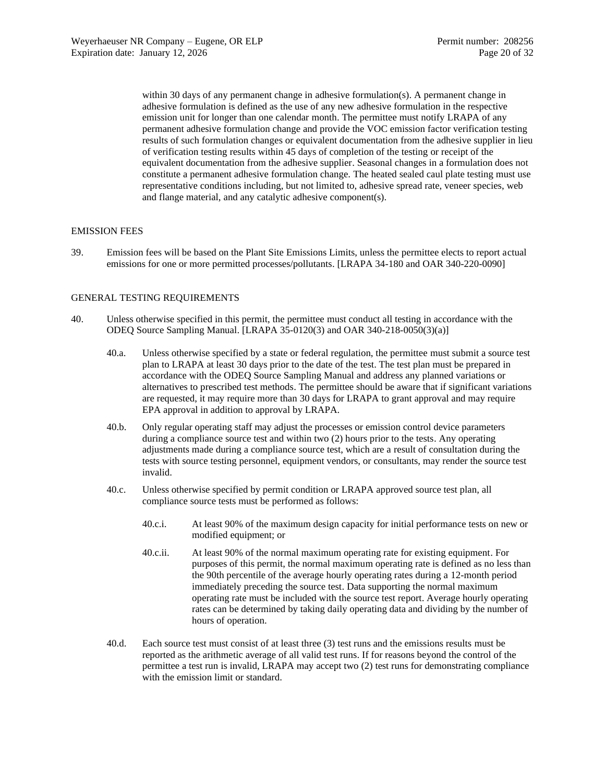within 30 days of any permanent change in adhesive formulation(s). A permanent change in adhesive formulation is defined as the use of any new adhesive formulation in the respective emission unit for longer than one calendar month. The permittee must notify LRAPA of any permanent adhesive formulation change and provide the VOC emission factor verification testing results of such formulation changes or equivalent documentation from the adhesive supplier in lieu of verification testing results within 45 days of completion of the testing or receipt of the equivalent documentation from the adhesive supplier. Seasonal changes in a formulation does not constitute a permanent adhesive formulation change. The heated sealed caul plate testing must use representative conditions including, but not limited to, adhesive spread rate, veneer species, web and flange material, and any catalytic adhesive component(s).

## EMISSION FEES

39. Emission fees will be based on the Plant Site Emissions Limits, unless the permittee elects to report actual emissions for one or more permitted processes/pollutants. [LRAPA 34-180 and OAR 340-220-0090]

### GENERAL TESTING REQUIREMENTS

- 40. Unless otherwise specified in this permit, the permittee must conduct all testing in accordance with the ODEQ Source Sampling Manual. [LRAPA 35-0120(3) and OAR 340-218-0050(3)(a)]
	- 40.a. Unless otherwise specified by a state or federal regulation, the permittee must submit a source test plan to LRAPA at least 30 days prior to the date of the test. The test plan must be prepared in accordance with the ODEQ Source Sampling Manual and address any planned variations or alternatives to prescribed test methods. The permittee should be aware that if significant variations are requested, it may require more than 30 days for LRAPA to grant approval and may require EPA approval in addition to approval by LRAPA.
	- 40.b. Only regular operating staff may adjust the processes or emission control device parameters during a compliance source test and within two (2) hours prior to the tests. Any operating adjustments made during a compliance source test, which are a result of consultation during the tests with source testing personnel, equipment vendors, or consultants, may render the source test invalid.
	- 40.c. Unless otherwise specified by permit condition or LRAPA approved source test plan, all compliance source tests must be performed as follows:
		- 40.c.i. At least 90% of the maximum design capacity for initial performance tests on new or modified equipment; or
		- 40.c.ii. At least 90% of the normal maximum operating rate for existing equipment. For purposes of this permit, the normal maximum operating rate is defined as no less than the 90th percentile of the average hourly operating rates during a 12-month period immediately preceding the source test. Data supporting the normal maximum operating rate must be included with the source test report. Average hourly operating rates can be determined by taking daily operating data and dividing by the number of hours of operation.
	- 40.d. Each source test must consist of at least three (3) test runs and the emissions results must be reported as the arithmetic average of all valid test runs. If for reasons beyond the control of the permittee a test run is invalid, LRAPA may accept two (2) test runs for demonstrating compliance with the emission limit or standard.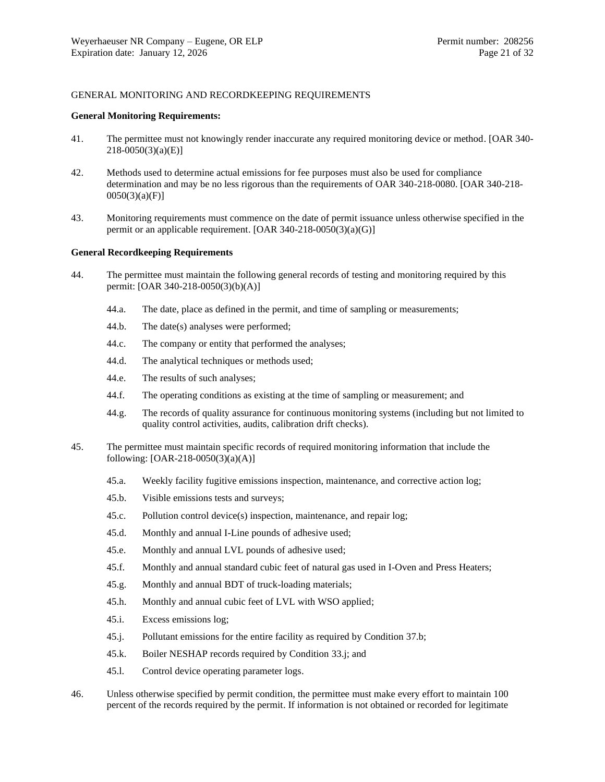## GENERAL MONITORING AND RECORDKEEPING REQUIREMENTS

#### **General Monitoring Requirements:**

- 41. The permittee must not knowingly render inaccurate any required monitoring device or method. [OAR 340- 218-0050(3)(a)(E)]
- 42. Methods used to determine actual emissions for fee purposes must also be used for compliance determination and may be no less rigorous than the requirements of OAR 340-218-0080. [OAR 340-218- 0050(3)(a)(F)]
- 43. Monitoring requirements must commence on the date of permit issuance unless otherwise specified in the permit or an applicable requirement. [OAR 340-218-0050(3)(a)(G)]

#### **General Recordkeeping Requirements**

- 44. The permittee must maintain the following general records of testing and monitoring required by this permit: [OAR 340-218-0050(3)(b)(A)]
	- 44.a. The date, place as defined in the permit, and time of sampling or measurements;
	- 44.b. The date(s) analyses were performed;
	- 44.c. The company or entity that performed the analyses;
	- 44.d. The analytical techniques or methods used;
	- 44.e. The results of such analyses;
	- 44.f. The operating conditions as existing at the time of sampling or measurement; and
	- 44.g. The records of quality assurance for continuous monitoring systems (including but not limited to quality control activities, audits, calibration drift checks).
- 45. The permittee must maintain specific records of required monitoring information that include the following: [OAR-218-0050(3)(a)(A)]
	- 45.a. Weekly facility fugitive emissions inspection, maintenance, and corrective action log;
	- 45.b. Visible emissions tests and surveys;
	- 45.c. Pollution control device(s) inspection, maintenance, and repair log;
	- 45.d. Monthly and annual I-Line pounds of adhesive used;
	- 45.e. Monthly and annual LVL pounds of adhesive used;
	- 45.f. Monthly and annual standard cubic feet of natural gas used in I-Oven and Press Heaters;
	- 45.g. Monthly and annual BDT of truck-loading materials;
	- 45.h. Monthly and annual cubic feet of LVL with WSO applied;
	- 45.i. Excess emissions log;
	- 45.j. Pollutant emissions for the entire facility as required by Condition [37.b;](#page-17-1)
	- 45.k. Boiler NESHAP records required by Condition [33.j;](#page-14-2) and
	- 45.l. Control device operating parameter logs.
- 46. Unless otherwise specified by permit condition, the permittee must make every effort to maintain 100 percent of the records required by the permit. If information is not obtained or recorded for legitimate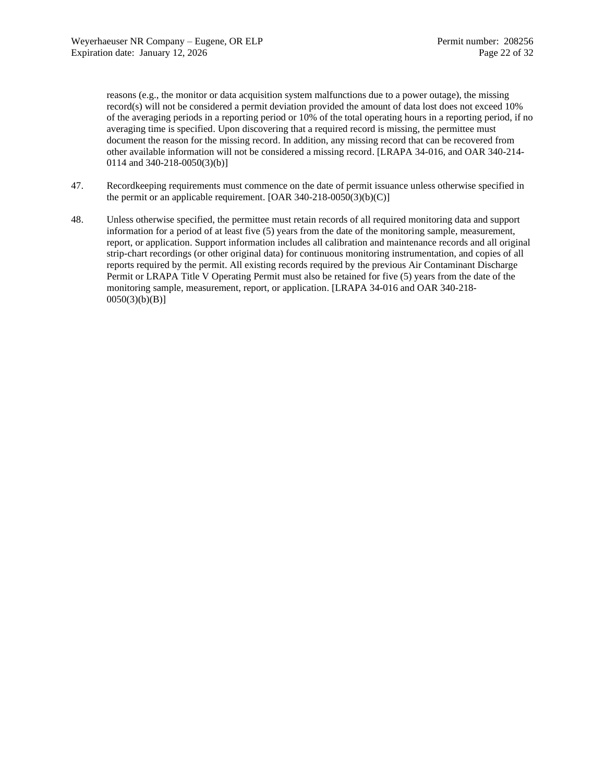reasons (e.g., the monitor or data acquisition system malfunctions due to a power outage), the missing record(s) will not be considered a permit deviation provided the amount of data lost does not exceed 10% of the averaging periods in a reporting period or 10% of the total operating hours in a reporting period, if no averaging time is specified. Upon discovering that a required record is missing, the permittee must document the reason for the missing record. In addition, any missing record that can be recovered from other available information will not be considered a missing record. [LRAPA 34-016, and OAR 340-214- 0114 and 340-218-0050(3)(b)]

- 47. Recordkeeping requirements must commence on the date of permit issuance unless otherwise specified in the permit or an applicable requirement.  $[OAR 340-218-0050(3)(b)(C)]$
- 48. Unless otherwise specified, the permittee must retain records of all required monitoring data and support information for a period of at least five (5) years from the date of the monitoring sample, measurement, report, or application. Support information includes all calibration and maintenance records and all original strip-chart recordings (or other original data) for continuous monitoring instrumentation, and copies of all reports required by the permit. All existing records required by the previous Air Contaminant Discharge Permit or LRAPA Title V Operating Permit must also be retained for five (5) years from the date of the monitoring sample, measurement, report, or application. [LRAPA 34-016 and OAR 340-218-  $0050(3)(b)(B)$ ]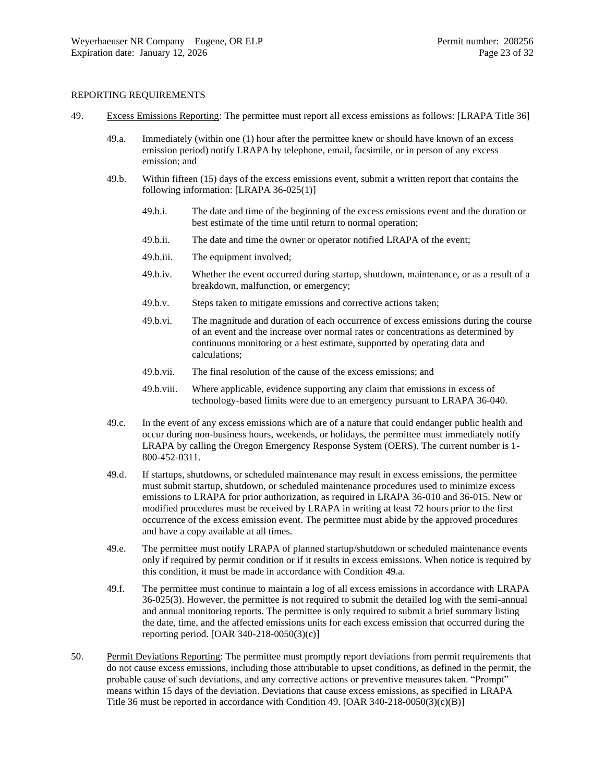#### REPORTING REQUIREMENTS

- <span id="page-22-1"></span><span id="page-22-0"></span>49. Excess Emissions Reporting: The permittee must report all excess emissions as follows: [LRAPA Title 36]
	- 49.a. Immediately (within one (1) hour after the permittee knew or should have known of an excess emission period) notify LRAPA by telephone, email, facsimile, or in person of any excess emission; and
	- 49.b. Within fifteen (15) days of the excess emissions event, submit a written report that contains the following information: [LRAPA 36-025(1)]
		- 49.b.i. The date and time of the beginning of the excess emissions event and the duration or best estimate of the time until return to normal operation;
		- 49.b.ii. The date and time the owner or operator notified LRAPA of the event;
		- 49.b.iii. The equipment involved;
		- 49.b.iv. Whether the event occurred during startup, shutdown, maintenance, or as a result of a breakdown, malfunction, or emergency;
		- 49.b.v. Steps taken to mitigate emissions and corrective actions taken;
		- 49.b.vi. The magnitude and duration of each occurrence of excess emissions during the course of an event and the increase over normal rates or concentrations as determined by continuous monitoring or a best estimate, supported by operating data and calculations;
		- 49.b.vii. The final resolution of the cause of the excess emissions; and
		- 49.b.viii. Where applicable, evidence supporting any claim that emissions in excess of technology-based limits were due to an emergency pursuant to LRAPA 36-040.
	- 49.c. In the event of any excess emissions which are of a nature that could endanger public health and occur during non-business hours, weekends, or holidays, the permittee must immediately notify LRAPA by calling the Oregon Emergency Response System (OERS). The current number is 1- 800-452-0311.
	- 49.d. If startups, shutdowns, or scheduled maintenance may result in excess emissions, the permittee must submit startup, shutdown, or scheduled maintenance procedures used to minimize excess emissions to LRAPA for prior authorization, as required in LRAPA 36-010 and 36-015. New or modified procedures must be received by LRAPA in writing at least 72 hours prior to the first occurrence of the excess emission event. The permittee must abide by the approved procedures and have a copy available at all times.
	- 49.e. The permittee must notify LRAPA of planned startup/shutdown or scheduled maintenance events only if required by permit condition or if it results in excess emissions. When notice is required by this condition, it must be made in accordance with Condition [49.a.](#page-22-0)
	- 49.f. The permittee must continue to maintain a log of all excess emissions in accordance with LRAPA 36-025(3). However, the permittee is not required to submit the detailed log with the semi-annual and annual monitoring reports. The permittee is only required to submit a brief summary listing the date, time, and the affected emissions units for each excess emission that occurred during the reporting period. [OAR 340-218-0050(3)(c)]
- 50. Permit Deviations Reporting: The permittee must promptly report deviations from permit requirements that do not cause excess emissions, including those attributable to upset conditions, as defined in the permit, the probable cause of such deviations, and any corrective actions or preventive measures taken. "Prompt" means within 15 days of the deviation. Deviations that cause excess emissions, as specified in LRAPA Title 36 must be reported in accordance with Condition [49.](#page-22-1) [OAR  $340-218-0050(3)(c)(B)$ ]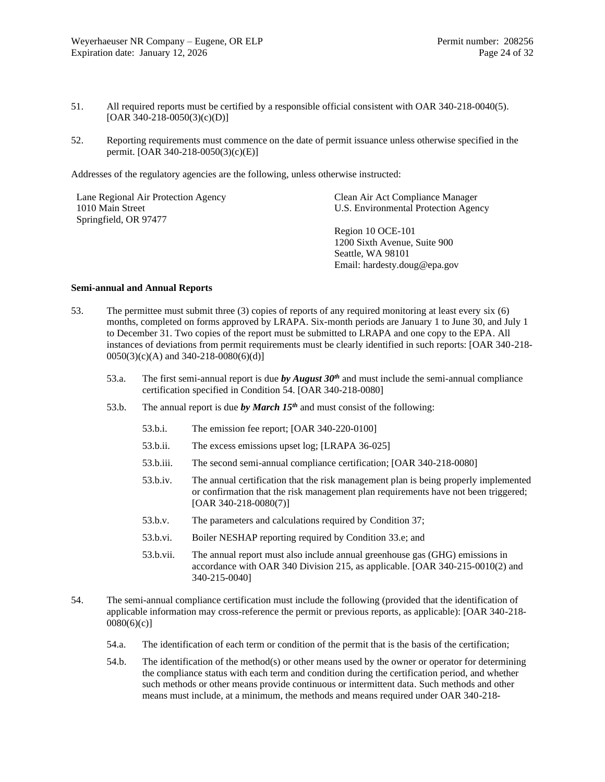- 51. All required reports must be certified by a responsible official consistent with OAR 340-218-0040(5). [OAR 340-218-0050(3)(c)(D)]
- 52. Reporting requirements must commence on the date of permit issuance unless otherwise specified in the permit. [OAR 340-218-0050(3)(c)(E)]

Addresses of the regulatory agencies are the following, unless otherwise instructed:

| Lane Regional Air Protection Agency<br>1010 Main Street | Clean Air Act Compliance Manager<br>U.S. Environmental Protection Agency |
|---------------------------------------------------------|--------------------------------------------------------------------------|
| Springfield, OR 97477                                   |                                                                          |
|                                                         | Region 10 OCE-101                                                        |
|                                                         | 1200 Sixth Avenue, Suite 900                                             |
|                                                         | Seattle, WA 98101                                                        |
|                                                         | Email: hardesty.doug@epa.gov                                             |

#### **Semi-annual and Annual Reports**

- <span id="page-23-2"></span><span id="page-23-0"></span>53. The permittee must submit three (3) copies of reports of any required monitoring at least every six (6) months, completed on forms approved by LRAPA. Six-month periods are January 1 to June 30, and July 1 to December 31. Two copies of the report must be submitted to LRAPA and one copy to the EPA. All instances of deviations from permit requirements must be clearly identified in such reports: [OAR 340-218- 0050(3)(c)(A) and 340-218-0080(6)(d)]
	- 53.a. The first semi-annual report is due *by August 30th* and must include the semi-annual compliance certification specified in Condition [54.](#page-23-3) [OAR 340-218-0080]
	- 53.b. The annual report is due *by March 15th* and must consist of the following:
		- 53.b.i. The emission fee report; [OAR 340-220-0100]
		- 53.b.ii. The excess emissions upset log; [LRAPA 36-025]
		- 53.b.iii. The second semi-annual compliance certification; [OAR 340-218-0080]
		- 53.b.iv. The annual certification that the risk management plan is being properly implemented or confirmation that the risk management plan requirements have not been triggered; [OAR 340-218-0080(7)]
		- 53.b.v. The parameters and calculations required by Condition [37;](#page-17-2)
		- 53.b.vi. Boiler NESHAP reporting required by Condition [33.e;](#page-13-4) and
		- 53.b.vii. The annual report must also include annual greenhouse gas (GHG) emissions in accordance with OAR 340 Division 215, as applicable. [OAR 340-215-0010(2) and 340-215-0040]
- <span id="page-23-4"></span><span id="page-23-3"></span><span id="page-23-1"></span>54. The semi-annual compliance certification must include the following (provided that the identification of applicable information may cross-reference the permit or previous reports, as applicable): [OAR 340-218-  $0080(6)(c)$ ]
	- 54.a. The identification of each term or condition of the permit that is the basis of the certification;
	- 54.b. The identification of the method(s) or other means used by the owner or operator for determining the compliance status with each term and condition during the certification period, and whether such methods or other means provide continuous or intermittent data. Such methods and other means must include, at a minimum, the methods and means required under OAR 340-218-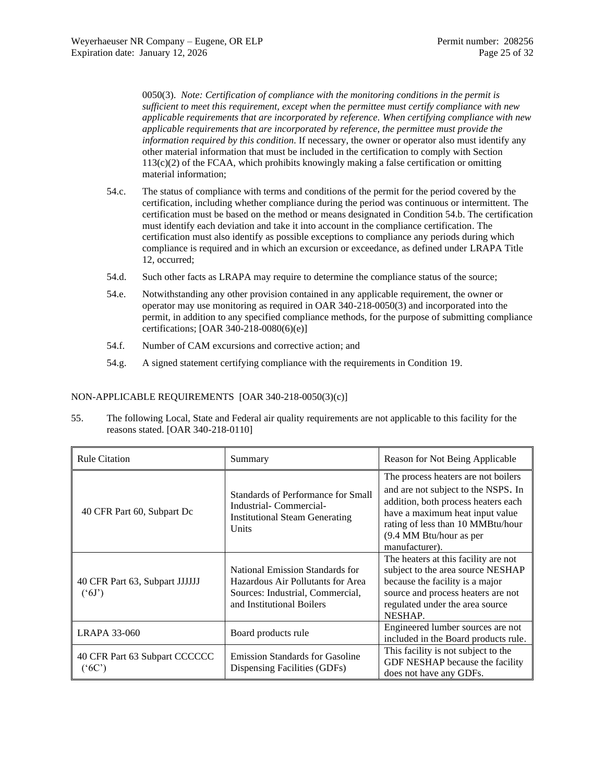0050(3). *Note: Certification of compliance with the monitoring conditions in the permit is sufficient to meet this requirement, except when the permittee must certify compliance with new applicable requirements that are incorporated by reference. When certifying compliance with new applicable requirements that are incorporated by reference, the permittee must provide the information required by this condition.* If necessary, the owner or operator also must identify any other material information that must be included in the certification to comply with Section 113(c)(2) of the FCAA, which prohibits knowingly making a false certification or omitting material information;

- 54.c. The status of compliance with terms and conditions of the permit for the period covered by the certification, including whether compliance during the period was continuous or intermittent. The certification must be based on the method or means designated in Conditio[n 54.b.](#page-23-4) The certification must identify each deviation and take it into account in the compliance certification. The certification must also identify as possible exceptions to compliance any periods during which compliance is required and in which an excursion or exceedance, as defined under LRAPA Title 12, occurred;
- 54.d. Such other facts as LRAPA may require to determine the compliance status of the source;
- 54.e. Notwithstanding any other provision contained in any applicable requirement, the owner or operator may use monitoring as required in OAR 340-218-0050(3) and incorporated into the permit, in addition to any specified compliance methods, for the purpose of submitting compliance certifications; [OAR 340-218-0080(6)(e)]
- 54.f. Number of CAM excursions and corrective action; and
- 54.g. A signed statement certifying compliance with the requirements in Condition [19.](#page-7-1)

## NON-APPLICABLE REQUIREMENTS [OAR 340-218-0050(3)(c)]

55. The following Local, State and Federal air quality requirements are not applicable to this facility for the reasons stated. [OAR 340-218-0110]

| <b>Rule Citation</b>                            | Summary                                                                                                                               | Reason for Not Being Applicable                                                                                                                                                                                                        |
|-------------------------------------------------|---------------------------------------------------------------------------------------------------------------------------------------|----------------------------------------------------------------------------------------------------------------------------------------------------------------------------------------------------------------------------------------|
| 40 CFR Part 60, Subpart Dc                      | Standards of Performance for Small<br>Industrial-Commercial-<br><b>Institutional Steam Generating</b><br><b>Units</b>                 | The process heaters are not boilers<br>and are not subject to the NSPS. In<br>addition, both process heaters each<br>have a maximum heat input value<br>rating of less than 10 MMBtu/hour<br>(9.4 MM Btu/hour as per<br>manufacturer). |
| 40 CFR Part 63, Subpart JJJJJJ<br>$(^{6}J)$     | National Emission Standards for<br>Hazardous Air Pollutants for Area<br>Sources: Industrial, Commercial,<br>and Institutional Boilers | The heaters at this facility are not<br>subject to the area source NESHAP<br>because the facility is a major<br>source and process heaters are not<br>regulated under the area source<br>NESHAP.                                       |
| <b>LRAPA 33-060</b>                             | Board products rule                                                                                                                   | Engineered lumber sources are not<br>included in the Board products rule.                                                                                                                                                              |
| 40 CFR Part 63 Subpart CCCCCC<br>$(^{\circ}6C)$ | <b>Emission Standards for Gasoline</b><br>Dispensing Facilities (GDFs)                                                                | This facility is not subject to the<br>GDF NESHAP because the facility<br>does not have any GDFs.                                                                                                                                      |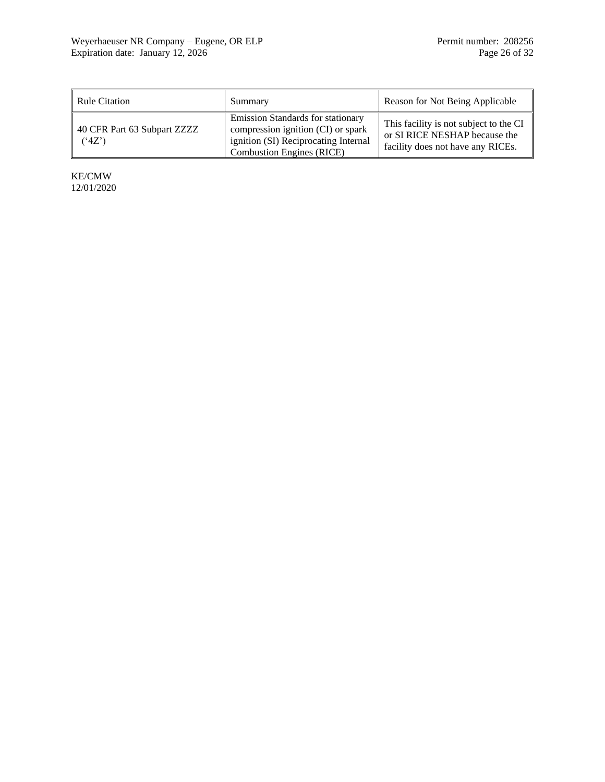| <b>Rule Citation</b>                      | Summary                                                                                                                                                    | Reason for Not Being Applicable                                                                              |
|-------------------------------------------|------------------------------------------------------------------------------------------------------------------------------------------------------------|--------------------------------------------------------------------------------------------------------------|
| 40 CFR Part 63 Subpart ZZZZ<br>$(^{4}Z')$ | <b>Emission Standards for stationary</b><br>compression ignition (CI) or spark<br>ignition (SI) Reciprocating Internal<br><b>Combustion Engines (RICE)</b> | This facility is not subject to the CI<br>or SI RICE NESHAP because the<br>facility does not have any RICEs. |

KE/CMW 12/01/2020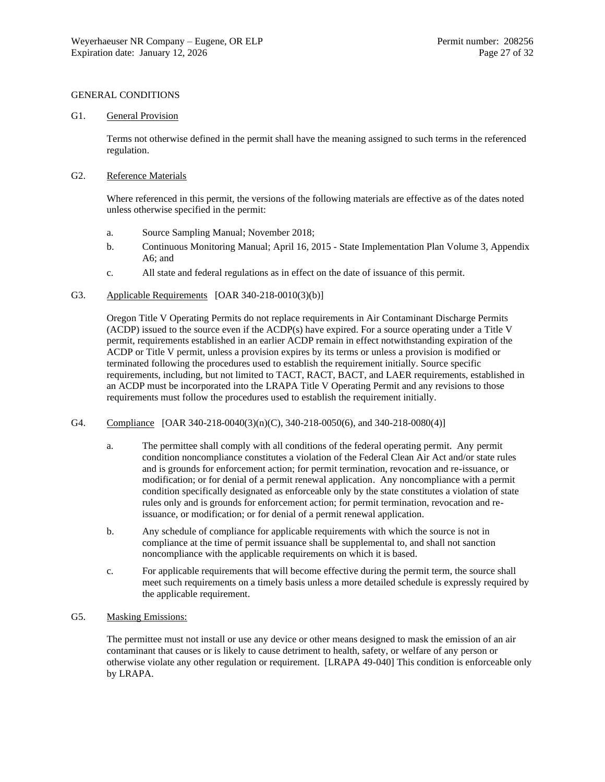## GENERAL CONDITIONS

## G1. General Provision

Terms not otherwise defined in the permit shall have the meaning assigned to such terms in the referenced regulation.

#### G2. Reference Materials

Where referenced in this permit, the versions of the following materials are effective as of the dates noted unless otherwise specified in the permit:

- a. Source Sampling Manual; November 2018;
- b. Continuous Monitoring Manual; April 16, 2015 State Implementation Plan Volume 3, Appendix A6; and
- c. All state and federal regulations as in effect on the date of issuance of this permit.
- G3. Applicable Requirements [OAR 340-218-0010(3)(b)]

Oregon Title V Operating Permits do not replace requirements in Air Contaminant Discharge Permits (ACDP) issued to the source even if the ACDP(s) have expired. For a source operating under a Title V permit, requirements established in an earlier ACDP remain in effect notwithstanding expiration of the ACDP or Title V permit, unless a provision expires by its terms or unless a provision is modified or terminated following the procedures used to establish the requirement initially. Source specific requirements, including, but not limited to TACT, RACT, BACT, and LAER requirements, established in an ACDP must be incorporated into the LRAPA Title V Operating Permit and any revisions to those requirements must follow the procedures used to establish the requirement initially.

#### G4. Compliance [OAR 340-218-0040(3)(n)(C), 340-218-0050(6), and 340-218-0080(4)]

- a. The permittee shall comply with all conditions of the federal operating permit. Any permit condition noncompliance constitutes a violation of the Federal Clean Air Act and/or state rules and is grounds for enforcement action; for permit termination, revocation and re-issuance, or modification; or for denial of a permit renewal application. Any noncompliance with a permit condition specifically designated as enforceable only by the state constitutes a violation of state rules only and is grounds for enforcement action; for permit termination, revocation and reissuance, or modification; or for denial of a permit renewal application.
- b. Any schedule of compliance for applicable requirements with which the source is not in compliance at the time of permit issuance shall be supplemental to, and shall not sanction noncompliance with the applicable requirements on which it is based.
- c. For applicable requirements that will become effective during the permit term, the source shall meet such requirements on a timely basis unless a more detailed schedule is expressly required by the applicable requirement.

## <span id="page-26-0"></span>G5. Masking Emissions:

The permittee must not install or use any device or other means designed to mask the emission of an air contaminant that causes or is likely to cause detriment to health, safety, or welfare of any person or otherwise violate any other regulation or requirement. [LRAPA 49-040] This condition is enforceable only by LRAPA.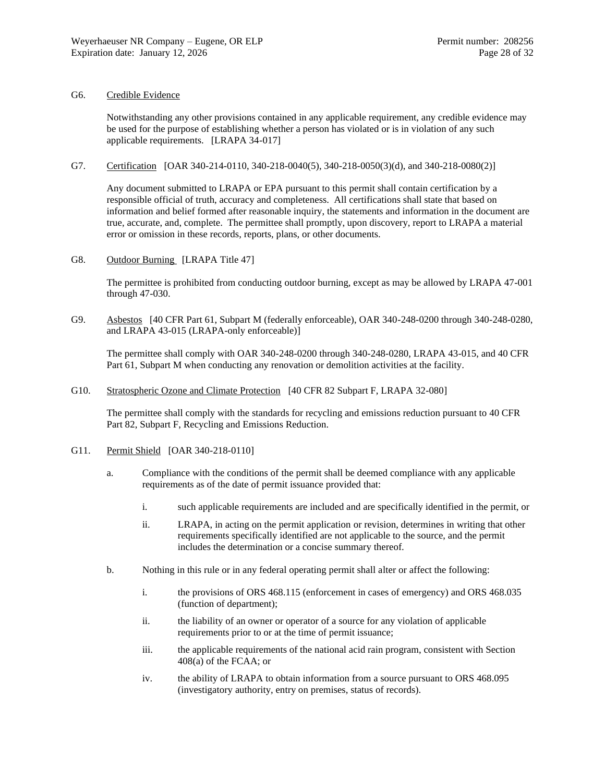#### G6. Credible Evidence

Notwithstanding any other provisions contained in any applicable requirement, any credible evidence may be used for the purpose of establishing whether a person has violated or is in violation of any such applicable requirements. [LRAPA 34-017]

#### G7. Certification [OAR 340-214-0110, 340-218-0040(5), 340-218-0050(3)(d), and 340-218-0080(2)]

Any document submitted to LRAPA or EPA pursuant to this permit shall contain certification by a responsible official of truth, accuracy and completeness. All certifications shall state that based on information and belief formed after reasonable inquiry, the statements and information in the document are true, accurate, and, complete. The permittee shall promptly, upon discovery, report to LRAPA a material error or omission in these records, reports, plans, or other documents.

G8. Outdoor Burning [LRAPA Title 47]

The permittee is prohibited from conducting outdoor burning, except as may be allowed by LRAPA 47-001 through 47-030.

<span id="page-27-0"></span>G9. Asbestos [40 CFR Part 61, Subpart M (federally enforceable), OAR 340-248-0200 through 340-248-0280, and LRAPA 43-015 (LRAPA-only enforceable)]

The permittee shall comply with OAR 340-248-0200 through 340-248-0280, LRAPA 43-015, and 40 CFR Part 61, Subpart M when conducting any renovation or demolition activities at the facility.

G10. Stratospheric Ozone and Climate Protection [40 CFR 82 Subpart F, LRAPA 32-080]

The permittee shall comply with the standards for recycling and emissions reduction pursuant to 40 CFR Part 82, Subpart F, Recycling and Emissions Reduction.

- G11. Permit Shield [OAR 340-218-0110]
	- a. Compliance with the conditions of the permit shall be deemed compliance with any applicable requirements as of the date of permit issuance provided that:
		- i. such applicable requirements are included and are specifically identified in the permit, or
		- ii. LRAPA, in acting on the permit application or revision, determines in writing that other requirements specifically identified are not applicable to the source, and the permit includes the determination or a concise summary thereof.
	- b. Nothing in this rule or in any federal operating permit shall alter or affect the following:
		- i. the provisions of ORS 468.115 (enforcement in cases of emergency) and ORS 468.035 (function of department);
		- ii. the liability of an owner or operator of a source for any violation of applicable requirements prior to or at the time of permit issuance;
		- iii. the applicable requirements of the national acid rain program, consistent with Section 408(a) of the FCAA; or
		- iv. the ability of LRAPA to obtain information from a source pursuant to ORS 468.095 (investigatory authority, entry on premises, status of records).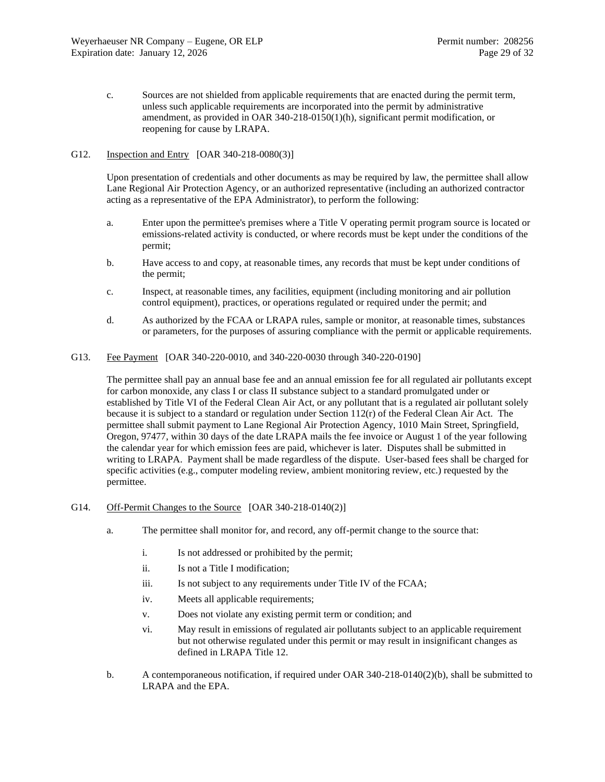c. Sources are not shielded from applicable requirements that are enacted during the permit term, unless such applicable requirements are incorporated into the permit by administrative amendment, as provided in OAR 340-218-0150(1)(h), significant permit modification, or reopening for cause by LRAPA.

## G12. Inspection and Entry [OAR 340-218-0080(3)]

Upon presentation of credentials and other documents as may be required by law, the permittee shall allow Lane Regional Air Protection Agency, or an authorized representative (including an authorized contractor acting as a representative of the EPA Administrator), to perform the following:

- a. Enter upon the permittee's premises where a Title V operating permit program source is located or emissions-related activity is conducted, or where records must be kept under the conditions of the permit;
- b. Have access to and copy, at reasonable times, any records that must be kept under conditions of the permit;
- c. Inspect, at reasonable times, any facilities, equipment (including monitoring and air pollution control equipment), practices, or operations regulated or required under the permit; and
- d. As authorized by the FCAA or LRAPA rules, sample or monitor, at reasonable times, substances or parameters, for the purposes of assuring compliance with the permit or applicable requirements.
- G13. Fee Payment [OAR 340-220-0010, and 340-220-0030 through 340-220-0190]

The permittee shall pay an annual base fee and an annual emission fee for all regulated air pollutants except for carbon monoxide, any class I or class II substance subject to a standard promulgated under or established by Title VI of the Federal Clean Air Act, or any pollutant that is a regulated air pollutant solely because it is subject to a standard or regulation under Section  $112(r)$  of the Federal Clean Air Act. The permittee shall submit payment to Lane Regional Air Protection Agency, 1010 Main Street, Springfield, Oregon, 97477, within 30 days of the date LRAPA mails the fee invoice or August 1 of the year following the calendar year for which emission fees are paid, whichever is later. Disputes shall be submitted in writing to LRAPA. Payment shall be made regardless of the dispute. User-based fees shall be charged for specific activities (e.g., computer modeling review, ambient monitoring review, etc.) requested by the permittee.

- G14. Off-Permit Changes to the Source [OAR 340-218-0140(2)]
	- a. The permittee shall monitor for, and record, any off-permit change to the source that:
		- i. Is not addressed or prohibited by the permit;
		- ii. Is not a Title I modification;
		- iii. Is not subject to any requirements under Title IV of the FCAA;
		- iv. Meets all applicable requirements;
		- v. Does not violate any existing permit term or condition; and
		- vi. May result in emissions of regulated air pollutants subject to an applicable requirement but not otherwise regulated under this permit or may result in insignificant changes as defined in LRAPA Title 12.
	- b. A contemporaneous notification, if required under OAR 340-218-0140(2)(b), shall be submitted to LRAPA and the EPA.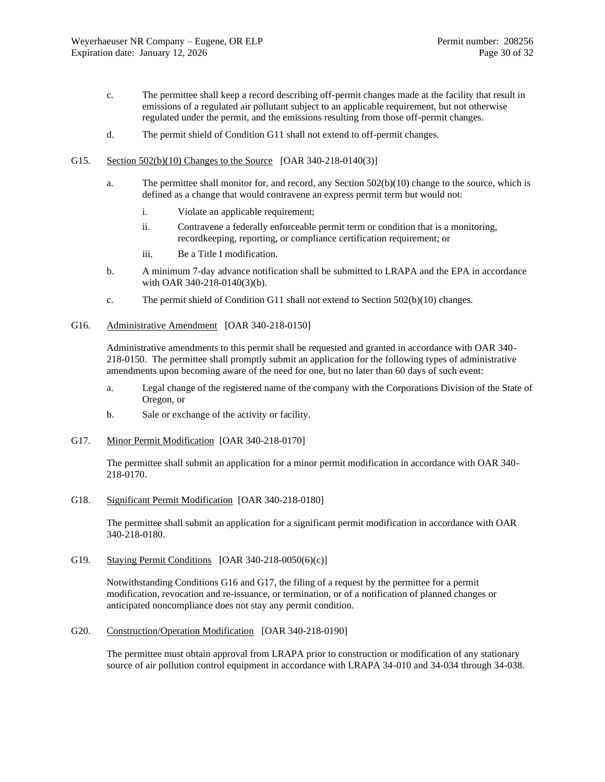- c. The permittee shall keep a record describing off-permit changes made at the facility that result in emissions of a regulated air pollutant subject to an applicable requirement, but not otherwise regulated under the permit, and the emissions resulting from those off-permit changes.
- d. The permit shield of Condition G11 shall not extend to off-permit changes.
- G15. Section 502(b)(10) Changes to the Source [OAR 340-218-0140(3)]
	- a. The permittee shall monitor for, and record, any Section 502(b)(10) change to the source, which is defined as a change that would contravene an express permit term but would not:
		- i. Violate an applicable requirement;
		- ii. Contravene a federally enforceable permit term or condition that is a monitoring, recordkeeping, reporting, or compliance certification requirement; or
		- iii. Be a Title I modification.
	- b. A minimum 7-day advance notification shall be submitted to LRAPA and the EPA in accordance with OAR 340-218-0140(3)(b).
	- c. The permit shield of Condition G11 shall not extend to Section 502(b)(10) changes.
- <span id="page-29-0"></span>G16. Administrative Amendment [OAR 340-218-0150]

Administrative amendments to this permit shall be requested and granted in accordance with OAR 340- 218-0150. The permittee shall promptly submit an application for the following types of administrative amendments upon becoming aware of the need for one, but no later than 60 days of such event:

- a. Legal change of the registered name of the company with the Corporations Division of the State of Oregon, or
- b. Sale or exchange of the activity or facility.
- <span id="page-29-1"></span>G17. Minor Permit Modification [OAR 340-218-0170]

The permittee shall submit an application for a minor permit modification in accordance with OAR 340- 218-0170.

G18. Significant Permit Modification [OAR 340-218-0180]

The permittee shall submit an application for a significant permit modification in accordance with OAR 340-218-0180.

G19. Staying Permit Conditions [OAR 340-218-0050(6)(c)]

Notwithstanding Condition[s G16](#page-29-0) and [G17,](#page-29-1) the filing of a request by the permittee for a permit modification, revocation and re-issuance, or termination, or of a notification of planned changes or anticipated noncompliance does not stay any permit condition.

G20. Construction/Operation Modification [OAR 340-218-0190]

The permittee must obtain approval from LRAPA prior to construction or modification of any stationary source of air pollution control equipment in accordance with LRAPA 34-010 and 34-034 through 34-038.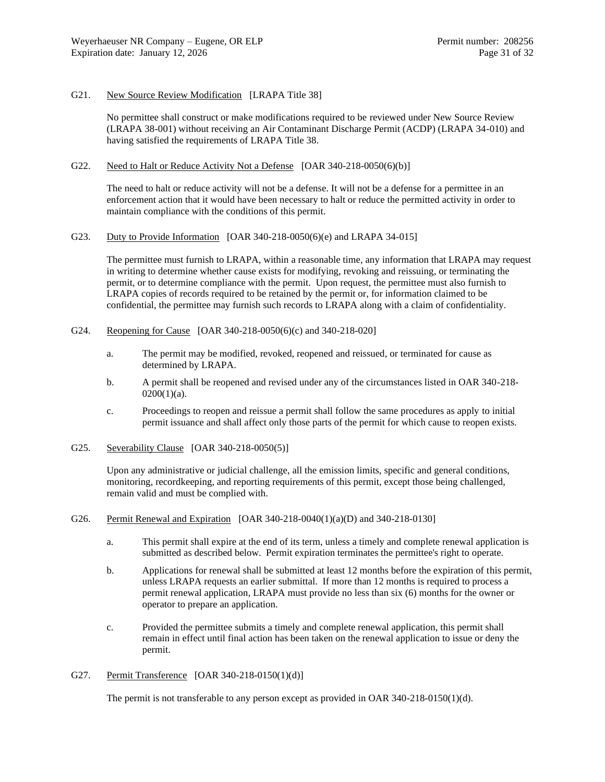#### G21. New Source Review Modification [LRAPA Title 38]

No permittee shall construct or make modifications required to be reviewed under New Source Review (LRAPA 38-001) without receiving an Air Contaminant Discharge Permit (ACDP) (LRAPA 34-010) and having satisfied the requirements of LRAPA Title 38.

## G22. Need to Halt or Reduce Activity Not a Defense [OAR 340-218-0050(6)(b)]

The need to halt or reduce activity will not be a defense. It will not be a defense for a permittee in an enforcement action that it would have been necessary to halt or reduce the permitted activity in order to maintain compliance with the conditions of this permit.

#### G23. Duty to Provide Information [OAR 340-218-0050(6)(e) and LRAPA 34-015]

The permittee must furnish to LRAPA, within a reasonable time, any information that LRAPA may request in writing to determine whether cause exists for modifying, revoking and reissuing, or terminating the permit, or to determine compliance with the permit. Upon request, the permittee must also furnish to LRAPA copies of records required to be retained by the permit or, for information claimed to be confidential, the permittee may furnish such records to LRAPA along with a claim of confidentiality.

- G24. Reopening for Cause [OAR 340-218-0050(6)(c) and 340-218-020]
	- a. The permit may be modified, revoked, reopened and reissued, or terminated for cause as determined by LRAPA.
	- b. A permit shall be reopened and revised under any of the circumstances listed in OAR 340-218-  $0200(1)(a)$ .
	- c. Proceedings to reopen and reissue a permit shall follow the same procedures as apply to initial permit issuance and shall affect only those parts of the permit for which cause to reopen exists.
- G25. Severability Clause [OAR 340-218-0050(5)]

Upon any administrative or judicial challenge, all the emission limits, specific and general conditions, monitoring, recordkeeping, and reporting requirements of this permit, except those being challenged, remain valid and must be complied with.

- G26. Permit Renewal and Expiration [OAR 340-218-0040(1)(a)(D) and 340-218-0130]
	- a. This permit shall expire at the end of its term, unless a timely and complete renewal application is submitted as described below. Permit expiration terminates the permittee's right to operate.
	- b. Applications for renewal shall be submitted at least 12 months before the expiration of this permit, unless LRAPA requests an earlier submittal. If more than 12 months is required to process a permit renewal application, LRAPA must provide no less than six (6) months for the owner or operator to prepare an application.
	- c. Provided the permittee submits a timely and complete renewal application, this permit shall remain in effect until final action has been taken on the renewal application to issue or deny the permit.
- G27. Permit Transference [OAR 340-218-0150(1)(d)]

The permit is not transferable to any person except as provided in OAR 340-218-0150(1)(d).